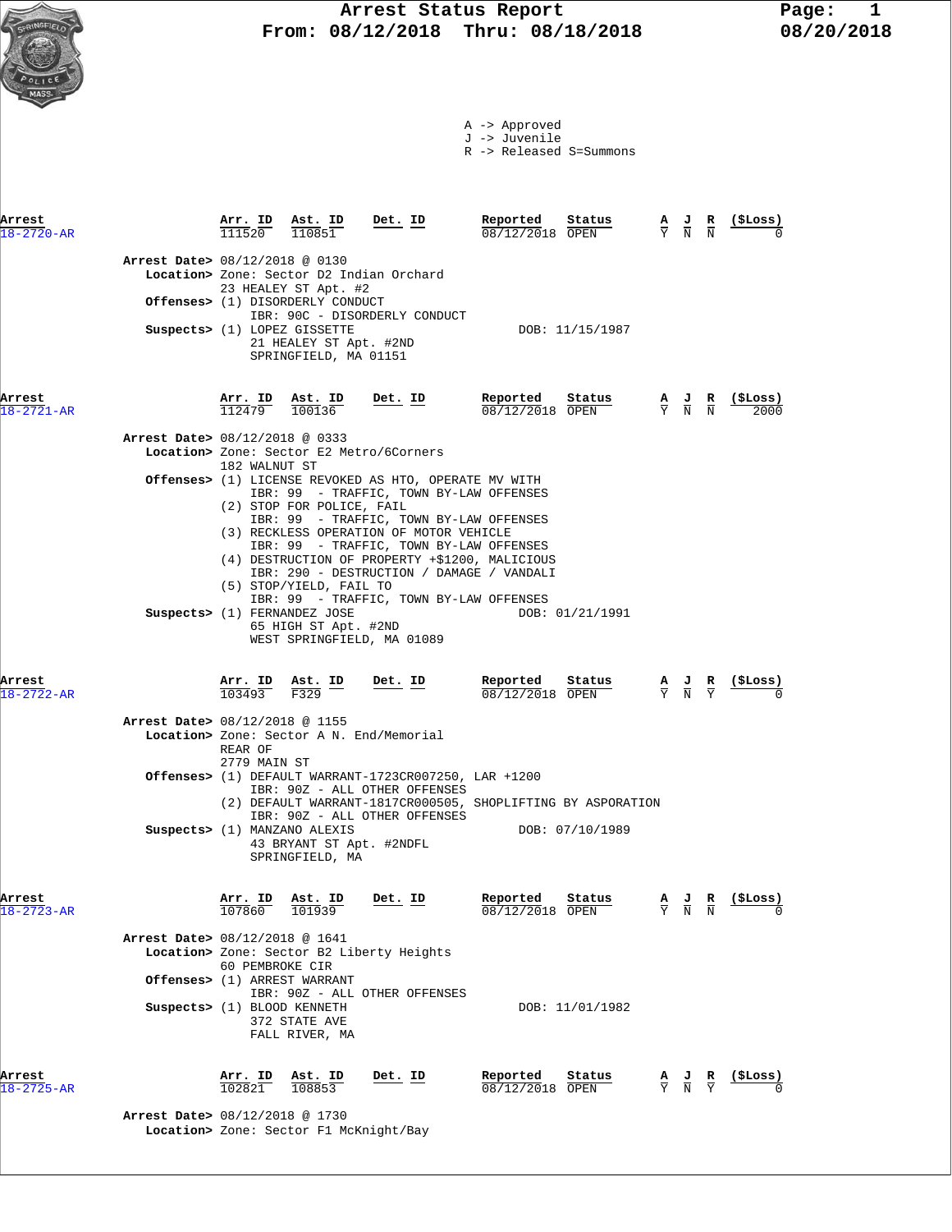|                            |                                |                                                                 |                                                                                 |                                                                                                                                                                                                                                                            | A -> Approved<br>J -> Juvenile<br>R -> Released S=Summons |                                       |                                                                                                 |                                                                                                       |                                                               |
|----------------------------|--------------------------------|-----------------------------------------------------------------|---------------------------------------------------------------------------------|------------------------------------------------------------------------------------------------------------------------------------------------------------------------------------------------------------------------------------------------------------|-----------------------------------------------------------|---------------------------------------|-------------------------------------------------------------------------------------------------|-------------------------------------------------------------------------------------------------------|---------------------------------------------------------------|
| Arrest<br>$18 - 2720 - AR$ |                                |                                                                 | $\frac{\texttt{Arr.}}{111520}$ $\frac{\texttt{ Ast.}}{110851}$ Det. ID          |                                                                                                                                                                                                                                                            | Reported<br>$08/12/2018$ OPEN                             | Status                                | $\frac{A}{Y}$ $\frac{J}{N}$ $\frac{R}{N}$                                                       |                                                                                                       |                                                               |
|                            | Arrest Date> 08/12/2018 @ 0130 |                                                                 | 23 HEALEY ST Apt. #2<br>Offenses> (1) DISORDERLY CONDUCT                        | Location> Zone: Sector D2 Indian Orchard<br>IBR: 90C - DISORDERLY CONDUCT                                                                                                                                                                                  |                                                           |                                       |                                                                                                 |                                                                                                       |                                                               |
|                            |                                |                                                                 | Suspects> (1) LOPEZ GISSETTE<br>21 HEALEY ST Apt. #2ND<br>SPRINGFIELD, MA 01151 |                                                                                                                                                                                                                                                            |                                                           | DOB: 11/15/1987                       |                                                                                                 |                                                                                                       |                                                               |
| Arrest<br>$8 - 2721 - AR$  |                                | $\frac{\text{Arr.}}{112479}$ $\frac{\text{Ast.}}{100136}$       |                                                                                 | <u>Det. ID</u>                                                                                                                                                                                                                                             | Reported<br>08/12/2018 OPEN                               | Status                                |                                                                                                 | $\frac{\mathbf{A}}{\mathbf{Y}}$ $\frac{\mathbf{J}}{\mathbf{N}}$ $\frac{\mathbf{R}}{\mathbf{N}}$       | (ŞLoss)<br>2000                                               |
|                            | Arrest Date> 08/12/2018 @ 0333 | 182 WALNUT ST                                                   | (2) STOP FOR POLICE, FAIL                                                       | Location> Zone: Sector E2 Metro/6Corners<br>Offenses> (1) LICENSE REVOKED AS HTO, OPERATE MV WITH<br>IBR: 99 - TRAFFIC, TOWN BY-LAW OFFENSES<br>IBR: 99 - TRAFFIC, TOWN BY-LAW OFFENSES                                                                    |                                                           |                                       |                                                                                                 |                                                                                                       |                                                               |
|                            |                                |                                                                 | (5) STOP/YIELD, FAIL TO<br>Suspects> (1) FERNANDEZ JOSE<br>65 HIGH ST Apt. #2ND | (3) RECKLESS OPERATION OF MOTOR VEHICLE<br>IBR: 99 - TRAFFIC, TOWN BY-LAW OFFENSES<br>(4) DESTRUCTION OF PROPERTY +\$1200, MALICIOUS<br>IBR: 290 - DESTRUCTION / DAMAGE / VANDALI<br>IBR: 99 - TRAFFIC, TOWN BY-LAW OFFENSES<br>WEST SPRINGFIELD, MA 01089 |                                                           | DOB: 01/21/1991                       |                                                                                                 |                                                                                                       |                                                               |
| Arrest<br>$18 - 2722 - AR$ |                                | Arr. ID<br>103493                                               | Ast. ID<br>F329                                                                 | Det. ID                                                                                                                                                                                                                                                    | Reported<br>08/12/2018 OPEN                               | Status                                |                                                                                                 | $\frac{\mathbf{A}}{\overline{Y}}$ $\frac{\mathbf{J}}{\overline{N}}$ $\frac{\mathbf{R}}{\overline{Y}}$ | (\$Loss)                                                      |
|                            | Arrest Date> 08/12/2018 @ 1155 | REAR OF<br>2779 MAIN ST                                         | Location> Zone: Sector A N. End/Memorial                                        |                                                                                                                                                                                                                                                            |                                                           |                                       |                                                                                                 |                                                                                                       |                                                               |
|                            |                                |                                                                 |                                                                                 | Offenses> (1) DEFAULT WARRANT-1723CR007250, LAR +1200<br>IBR: 90Z - ALL OTHER OFFENSES<br>(2) DEFAULT WARRANT-1817CR000505, SHOPLIFTING BY ASPORATION<br>IBR: 90Z - ALL OTHER OFFENSES                                                                     |                                                           |                                       |                                                                                                 |                                                                                                       |                                                               |
|                            |                                |                                                                 | Suspects> (1) MANZANO ALEXIS<br>43 BRYANT ST Apt. #2NDFL<br>SPRINGFIELD, MA     |                                                                                                                                                                                                                                                            |                                                           | DOB: 07/10/1989                       |                                                                                                 |                                                                                                       |                                                               |
| Arrest<br>$8 - 2723 - AR$  | Arrest Date> 08/12/2018 @ 1641 |                                                                 | $\frac{\texttt{Arr.}}{107860}$ $\frac{\texttt{Ab.}}{101939}$ Det. ID            |                                                                                                                                                                                                                                                            | Reported<br>08/12/2018 OPEN                               | Status                                |                                                                                                 |                                                                                                       | $\frac{A}{Y}$ $\frac{J}{N}$ $\frac{R}{N}$ $\frac{($Loss)}{0}$ |
|                            |                                | 60 PEMBROKE CIR                                                 | Offenses> (1) ARREST WARRANT                                                    | Location> Zone: Sector B2 Liberty Heights<br>IBR: 90Z - ALL OTHER OFFENSES                                                                                                                                                                                 |                                                           |                                       |                                                                                                 |                                                                                                       |                                                               |
|                            | Suspects> (1) BLOOD KENNETH    |                                                                 | 372 STATE AVE<br>FALL RIVER, MA                                                 |                                                                                                                                                                                                                                                            |                                                           | DOB: 11/01/1982                       |                                                                                                 |                                                                                                       |                                                               |
| Arrest<br>18-2725-AR       |                                | $\frac{\text{Arr. ID}}{102821}$ $\frac{\text{Ast. ID}}{108853}$ |                                                                                 | <u>Det. ID</u>                                                                                                                                                                                                                                             | Reported<br>08/12/2018 OPEN                               | $\frac{\text{Status}}{\text{Output}}$ | $\frac{\mathbf{A}}{\mathbf{Y}}$ $\frac{\mathbf{J}}{\mathbf{N}}$ $\frac{\mathbf{R}}{\mathbf{Y}}$ |                                                                                                       | <u>(SLoss)</u>                                                |

 **Arrest Date>** 08/12/2018 @ 1730  **Location>** Zone: Sector F1 McKnight/Bay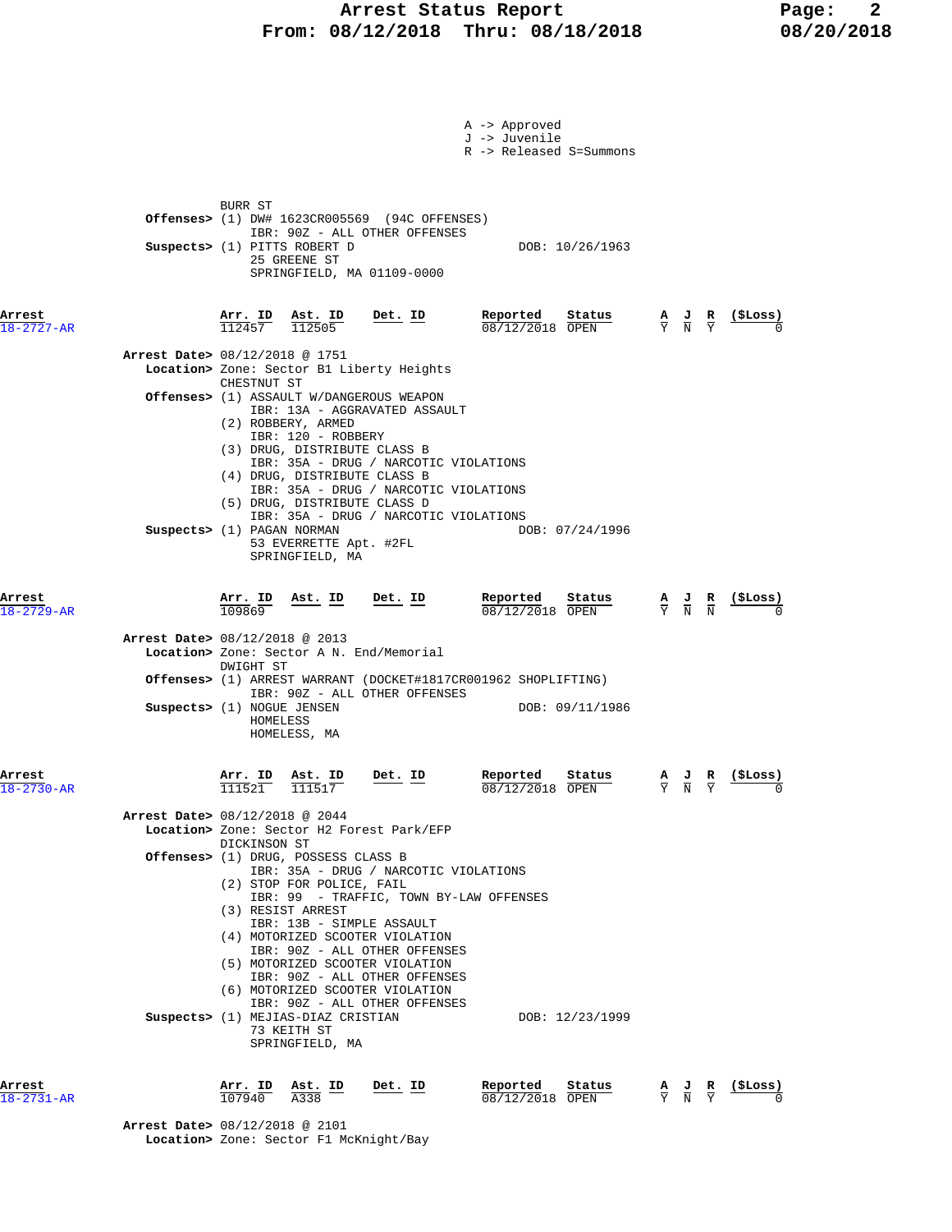# **Arrest Status Report 18/2018** Page: 2<br>18/12/2018 Thru: 08/18/2018 08/20/2018 **From: 08/12/2018 Thru: 08/18/2018**

|                            |                                                                                                                                                                                                                                                                                         |                                                                                | A -> Approved<br>J -> Juvenile<br>R -> Released S=Summons |               |                                                                                                 |          |
|----------------------------|-----------------------------------------------------------------------------------------------------------------------------------------------------------------------------------------------------------------------------------------------------------------------------------------|--------------------------------------------------------------------------------|-----------------------------------------------------------|---------------|-------------------------------------------------------------------------------------------------|----------|
|                            | BURR ST<br><b>Offenses&gt;</b> $(1)$ DW# $1623CR005569$ $(94C$ OFFENSES)<br>IBR: 90Z - ALL OTHER OFFENSES<br>Suspects> (1) PITTS ROBERT D<br>25 GREENE ST<br>SPRINGFIELD, MA 01109-0000                                                                                                 |                                                                                | DOB: 10/26/1963                                           |               |                                                                                                 |          |
| Arrest<br>$18 - 2727 - AR$ | <u>Arr. ID</u><br>Ast. ID<br>$\frac{112505}{112505}$<br>112457                                                                                                                                                                                                                          | Det. ID                                                                        | Reported<br>Status<br>08/12/2018 OPEN                     |               | $\frac{\mathbf{A}}{\mathbf{Y}}$ $\frac{\mathbf{J}}{\mathbf{N}}$ $\frac{\mathbf{R}}{\mathbf{Y}}$ |          |
|                            | Arrest Date> 08/12/2018 @ 1751<br>Location> Zone: Sector B1 Liberty Heights<br>CHESTNUT ST                                                                                                                                                                                              |                                                                                |                                                           |               |                                                                                                 |          |
|                            | <b>Offenses&gt;</b> (1) ASSAULT W/DANGEROUS WEAPON<br>IBR: 13A - AGGRAVATED ASSAULT<br>(2) ROBBERY, ARMED<br>IBR: 120 - ROBBERY<br>(3) DRUG, DISTRIBUTE CLASS B<br>(4) DRUG, DISTRIBUTE CLASS B                                                                                         | IBR: 35A - DRUG / NARCOTIC VIOLATIONS<br>IBR: 35A - DRUG / NARCOTIC VIOLATIONS |                                                           |               |                                                                                                 |          |
|                            | (5) DRUG, DISTRIBUTE CLASS D<br>Suspects> (1) PAGAN NORMAN<br>53 EVERRETTE Apt. #2FL<br>SPRINGFIELD, MA                                                                                                                                                                                 | IBR: 35A - DRUG / NARCOTIC VIOLATIONS                                          | DOB: 07/24/1996                                           |               |                                                                                                 |          |
| Arrest<br>$18 - 2729 - AR$ | Arr. ID<br><u>Ast. ID</u><br>109869                                                                                                                                                                                                                                                     | <u>Det. ID</u>                                                                 | Reported<br>Status<br>08/12/2018 OPEN                     |               | $\frac{A}{Y}$ $\frac{J}{N}$ $\frac{R}{N}$                                                       | (ŞLoss)  |
|                            | Arrest Date> 08/12/2018 @ 2013<br>Location> Zone: Sector A N. End/Memorial<br>DWIGHT ST                                                                                                                                                                                                 |                                                                                |                                                           |               |                                                                                                 |          |
|                            | <b>Offenses&gt;</b> (1) ARREST WARRANT (DOCKET#1817CR001962 SHOPLIFTING)<br>IBR: 90Z - ALL OTHER OFFENSES<br>Suspects> (1) NOGUE JENSEN<br>HOMELESS<br>HOMELESS, MA                                                                                                                     |                                                                                | DOB: 09/11/1986                                           |               |                                                                                                 |          |
| Arrest<br>$18 - 2730 - AR$ | Arr. ID<br>Ast. ID<br>111521<br>111517                                                                                                                                                                                                                                                  | Det. ID                                                                        | Reported<br>Status<br>08/12/2018 OPEN                     |               | ਹ<br>R                                                                                          | (\$Loss) |
|                            | Arrest Date> 08/12/2018 @ 2044<br>Location> Zone: Sector H2 Forest Park/EFP<br>DICKINSON ST<br>Offenses> (1) DRUG, POSSESS CLASS B                                                                                                                                                      | IBR: 35A - DRUG / NARCOTIC VIOLATIONS                                          |                                                           |               |                                                                                                 |          |
|                            | (2) STOP FOR POLICE, FAIL<br>(3) RESIST ARREST<br>IBR: 13B - SIMPLE ASSAULT<br>(4) MOTORIZED SCOOTER VIOLATION<br>IBR: 90Z - ALL OTHER OFFENSES<br>(5) MOTORIZED SCOOTER VIOLATION<br>IBR: 90Z - ALL OTHER OFFENSES<br>(6) MOTORIZED SCOOTER VIOLATION<br>IBR: 90Z - ALL OTHER OFFENSES | IBR: 99 - TRAFFIC, TOWN BY-LAW OFFENSES                                        |                                                           |               |                                                                                                 |          |
|                            | Suspects> (1) MEJIAS-DIAZ CRISTIAN<br>73 KEITH ST<br>SPRINGFIELD, MA                                                                                                                                                                                                                    |                                                                                | DOB: 12/23/1999                                           |               |                                                                                                 |          |
| Arrest<br>$8 - 2731 - AR$  | Arr. ID<br>Ast. ID<br>107940<br>A338                                                                                                                                                                                                                                                    | Det. ID                                                                        | Reported<br>Status<br>08/12/2018 OPEN                     | $\frac{A}{Y}$ | $\frac{\mathbf{J}}{\rm N}$<br>$rac{R}{Y}$                                                       | (\$Loss) |

 **Arrest Date>** 08/12/2018 @ 2101  **Location>** Zone: Sector F1 McKnight/Bay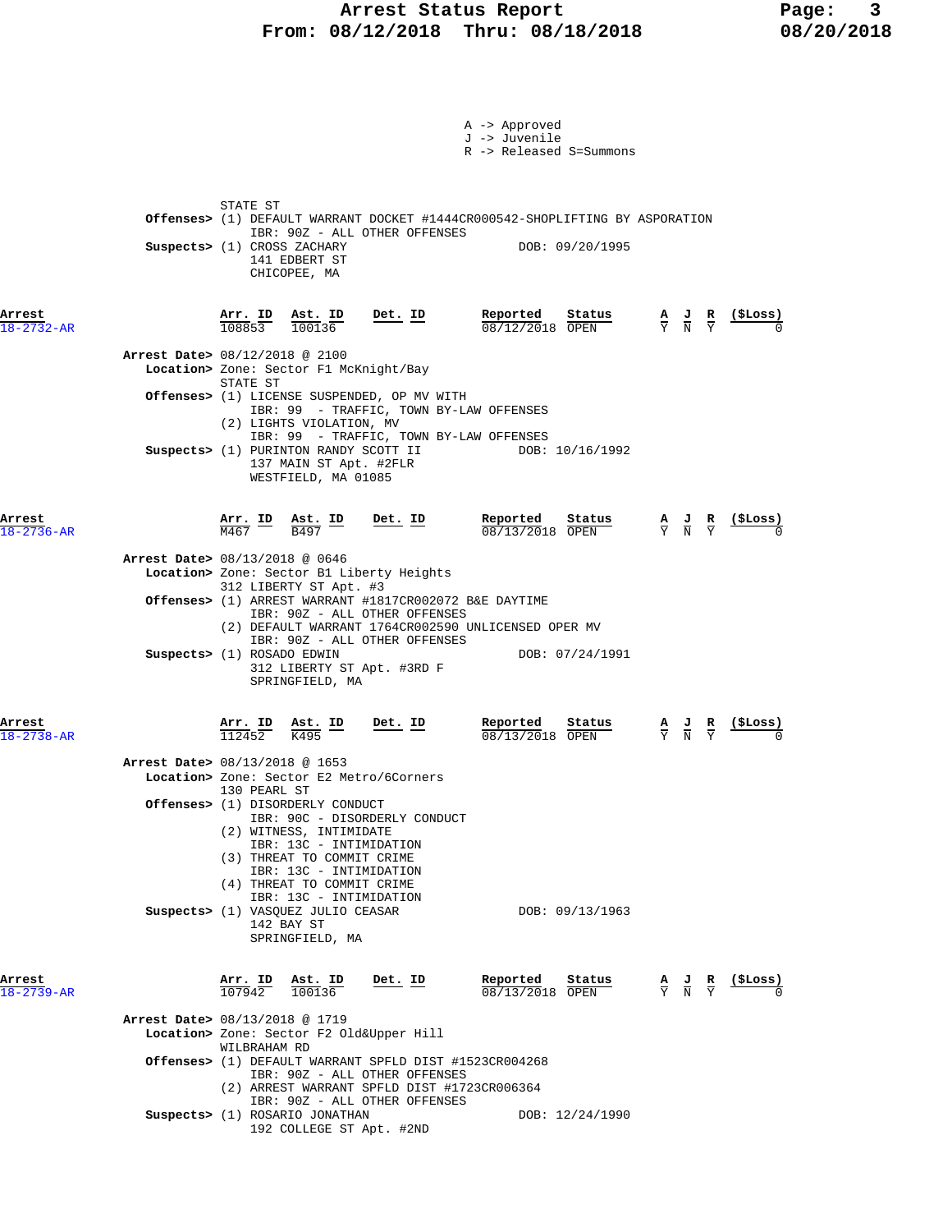## **Arrest Status Report Page: 3 From: 08/12/2018 Thru: 08/18/2018 08/20/2018**

|                            |                                                                                                                                                                                                                | A -> Approved<br>J -> Juvenile<br>R -> Released S=Summons |                                                                                                                               |
|----------------------------|----------------------------------------------------------------------------------------------------------------------------------------------------------------------------------------------------------------|-----------------------------------------------------------|-------------------------------------------------------------------------------------------------------------------------------|
|                            | STATE ST<br>Offenses> (1) DEFAULT WARRANT DOCKET #1444CR000542-SHOPLIFTING BY ASPORATION<br>IBR: 90Z - ALL OTHER OFFENSES<br>Suspects> (1) CROSS ZACHARY<br>141 EDBERT ST<br>CHICOPEE, MA                      | DOB: 09/20/1995                                           |                                                                                                                               |
| Arrest<br>$18 - 2732 - AR$ | <b>Arr. ID</b> Ast. ID Det. ID Reported Status A J R<br>108853 100136 <b>Det. ID</b> Reported Status A J R                                                                                                     | $08/12/2018$ OPEN                                         | ( <b>SLoss</b> )                                                                                                              |
|                            | Arrest Date> 08/12/2018 @ 2100<br>Location> Zone: Sector F1 McKnight/Bay<br>STATE ST                                                                                                                           |                                                           |                                                                                                                               |
|                            | Offenses> (1) LICENSE SUSPENDED, OP MV WITH<br>IBR: 99 - TRAFFIC, TOWN BY-LAW OFFENSES<br>(2) LIGHTS VIOLATION, MV                                                                                             |                                                           |                                                                                                                               |
|                            | IBR: 99 - TRAFFIC, TOWN BY-LAW OFFENSES<br>Suspects> (1) PURINTON RANDY SCOTT II<br>137 MAIN ST Apt. #2FLR<br>WESTFIELD, MA 01085                                                                              | DOB: 10/16/1992                                           |                                                                                                                               |
| Arrest<br>$18 - 2736 - AR$ | $\frac{\texttt{Arr.}}{\texttt{M467}}$ ID $\frac{\texttt{Ast.}}{\texttt{B497}}$ Bet. ID $\frac{\texttt{Reported}}{\texttt{08/13/2018}}$ Status                                                                  | Status                                                    | $\frac{A}{Y}$ $\frac{J}{N}$ $\frac{R}{Y}$ $\frac{($Loss)}{0}$                                                                 |
|                            | Arrest Date> 08/13/2018 @ 0646<br>Location> Zone: Sector B1 Liberty Heights<br>312 LIBERTY ST Apt. #3                                                                                                          |                                                           |                                                                                                                               |
|                            | Offenses> (1) ARREST WARRANT #1817CR002072 B&E DAYTIME<br>IBR: 90Z - ALL OTHER OFFENSES<br>(2) DEFAULT WARRANT 1764CR002590 UNLICENSED OPER MV                                                                 |                                                           |                                                                                                                               |
|                            | IBR: 90Z - ALL OTHER OFFENSES<br>Suspects> (1) ROSADO EDWIN<br>312 LIBERTY ST Apt. #3RD F<br>SPRINGFIELD, MA                                                                                                   | DOB: 07/24/1991                                           |                                                                                                                               |
| Arrest<br>$18 - 2738 - AR$ | $\frac{\texttt{Arr. ID}}{112452}$ $\frac{\texttt{Ast. ID}}{K495}$ Det. ID                                                                                                                                      | Reported<br>Status<br>08/13/2018 OPEN                     | $\frac{1}{2}$<br>$\frac{\mathbf{A}}{\mathbf{Y}}$ $\frac{\mathbf{J}}{\mathbf{N}}$ $\frac{\mathbf{R}}{\mathbf{Y}}$              |
|                            | Arrest Date> 08/13/2018 @ 1653<br>Location> Zone: Sector E2 Metro/6Corners<br>130 PEARL ST                                                                                                                     |                                                           |                                                                                                                               |
|                            | Offenses> (1) DISORDERLY CONDUCT<br>IBR: 90C - DISORDERLY CONDUCT<br>(2) WITNESS, INTIMIDATE<br>IBR: 13C - INTIMIDATION<br>(3) THREAT TO COMMIT CRIME<br>IBR: 13C - INTIMIDATION<br>(4) THREAT TO COMMIT CRIME |                                                           |                                                                                                                               |
|                            | IBR: 13C - INTIMIDATION<br>Suspects> (1) VASQUEZ JULIO CEASAR<br>142 BAY ST<br>SPRINGFIELD, MA                                                                                                                 | DOB: 09/13/1963                                           |                                                                                                                               |
| Arrest<br>$18 - 2739 - AR$ | $\frac{\text{Arr.}}{107942}$ $\frac{\text{dst.}}{100136}$<br><u>Det. ID</u>                                                                                                                                    | Reported<br>Status<br>08/13/2018 OPEN                     | $\frac{(\text{SLoss})}{0}$<br>$\frac{\mathbf{A}}{\mathbf{Y}}$ $\frac{\mathbf{J}}{\mathbf{N}}$ $\frac{\mathbf{R}}{\mathbf{Y}}$ |
|                            | Arrest Date> 08/13/2018 @ 1719<br>Location> Zone: Sector F2 Old&Upper Hill<br>WILBRAHAM RD                                                                                                                     |                                                           |                                                                                                                               |
|                            | <b>Offenses&gt;</b> (1) DEFAULT WARRANT SPFLD DIST #1523CR004268<br>IBR: 90Z - ALL OTHER OFFENSES<br>(2) ARREST WARRANT SPFLD DIST #1723CR006364                                                               |                                                           |                                                                                                                               |
|                            | IBR: 90Z - ALL OTHER OFFENSES<br>Suspects> (1) ROSARIO JONATHAN<br>192 COLLEGE ST Apt. #2ND                                                                                                                    | DOB: 12/24/1990                                           |                                                                                                                               |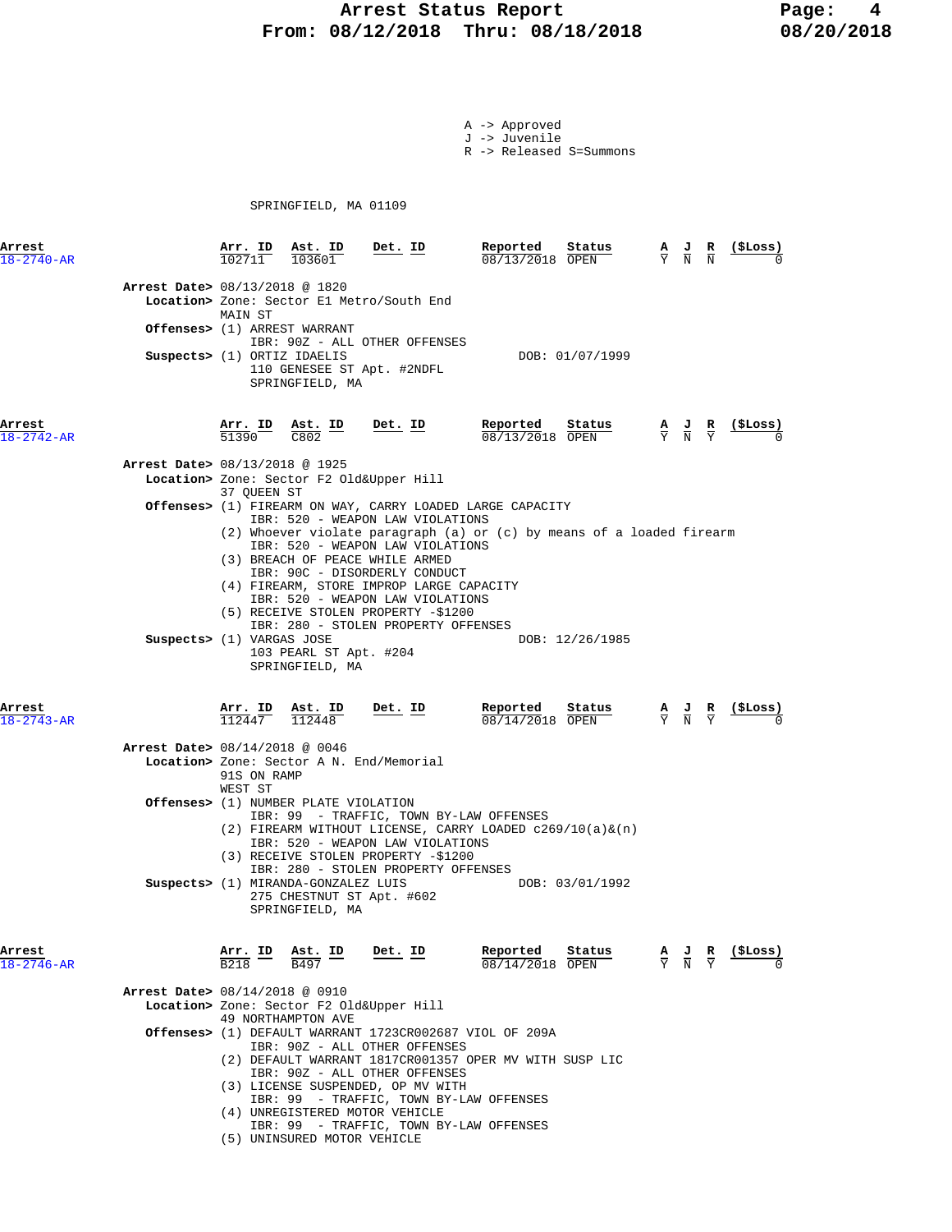# **Arrest Status Report 18/2018** Page: 4<br>18/12/2018 Thru: 08/18/2018 08/20/2018 **From: 08/12/2018 Thru: 08/18/2018**

- A -> Approved J -> Juvenile
- R -> Released S=Summons

SPRINGFIELD, MA 01109

| Arrest<br>$18 - 2740 - AR$               | <u>Arr. ID</u>           | Ast. ID                                                                             | $Det$ . ID                                                                                                                                                                                                                                                                                                                                                     | Reported<br>08/13/2018 OPEN | Status          | $\frac{A}{Y}$ $\frac{J}{N}$                                                                     |                                                                                                 | (ŞLoss) |
|------------------------------------------|--------------------------|-------------------------------------------------------------------------------------|----------------------------------------------------------------------------------------------------------------------------------------------------------------------------------------------------------------------------------------------------------------------------------------------------------------------------------------------------------------|-----------------------------|-----------------|-------------------------------------------------------------------------------------------------|-------------------------------------------------------------------------------------------------|---------|
| Arrest Date> 08/13/2018 @ 1820           | MAIN ST                  | Offenses> (1) ARREST WARRANT                                                        | Location> Zone: Sector E1 Metro/South End                                                                                                                                                                                                                                                                                                                      |                             |                 |                                                                                                 |                                                                                                 |         |
| Suspects> (1) ORTIZ IDAELIS              |                          | SPRINGFIELD, MA                                                                     | IBR: 90Z - ALL OTHER OFFENSES<br>110 GENESEE ST Apt. #2NDFL                                                                                                                                                                                                                                                                                                    |                             | DOB: 01/07/1999 |                                                                                                 |                                                                                                 |         |
| Arrest<br>$18 - 2742 - AR$               | Arr. ID<br>51390         | $\frac{\text{Ast. ID}}{\text{2000}}$<br>C802                                        | Det. ID                                                                                                                                                                                                                                                                                                                                                        | Reported<br>08/13/2018 OPEN | Status          |                                                                                                 | $\frac{\mathbf{A}}{\mathbf{Y}}$ $\frac{\mathbf{J}}{\mathbf{N}}$ $\frac{\mathbf{R}}{\mathbf{Y}}$ |         |
| Arrest Date> 08/13/2018 @ 1925           | 37 QUEEN ST              |                                                                                     | Location> Zone: Sector F2 Old&Upper Hill                                                                                                                                                                                                                                                                                                                       |                             |                 |                                                                                                 |                                                                                                 |         |
|                                          |                          |                                                                                     | Offenses> (1) FIREARM ON WAY, CARRY LOADED LARGE CAPACITY<br>IBR: 520 - WEAPON LAW VIOLATIONS<br>(2) Whoever violate paragraph (a) or (c) by means of a loaded firearm<br>IBR: 520 - WEAPON LAW VIOLATIONS<br>(3) BREACH OF PEACE WHILE ARMED<br>IBR: 90C - DISORDERLY CONDUCT<br>(4) FIREARM, STORE IMPROP LARGE CAPACITY<br>IBR: 520 - WEAPON LAW VIOLATIONS |                             |                 |                                                                                                 |                                                                                                 |         |
| Suspects> (1) VARGAS JOSE                |                          | 103 PEARL ST Apt. #204<br>SPRINGFIELD, MA                                           | (5) RECEIVE STOLEN PROPERTY -\$1200<br>IBR: 280 - STOLEN PROPERTY OFFENSES                                                                                                                                                                                                                                                                                     |                             | DOB: 12/26/1985 |                                                                                                 |                                                                                                 |         |
| Arrest<br>$18 - 2743 - AR$               | <u>Arr.</u> ID<br>112447 | Ast. ID<br>112448                                                                   | <u>Det. ID</u>                                                                                                                                                                                                                                                                                                                                                 | Reported<br>08/14/2018 OPEN | Status          | $\frac{\mathbf{A}}{\mathbf{Y}}$ $\frac{\mathbf{J}}{\mathbf{N}}$ $\frac{\mathbf{R}}{\mathbf{Y}}$ |                                                                                                 | (ŞLoss) |
| <b>Arrest Date&gt; 08/14/2018 @ 0046</b> | 91S ON RAMP              |                                                                                     | Location> Zone: Sector A N. End/Memorial                                                                                                                                                                                                                                                                                                                       |                             |                 |                                                                                                 |                                                                                                 |         |
|                                          | WEST ST                  | <b>Offenses&gt;</b> (1) NUMBER PLATE VIOLATION                                      | IBR: 99 - TRAFFIC, TOWN BY-LAW OFFENSES                                                                                                                                                                                                                                                                                                                        |                             |                 |                                                                                                 |                                                                                                 |         |
|                                          |                          | Suspects> (1) MIRANDA-GONZALEZ LUIS<br>275 CHESTNUT ST Apt. #602<br>SPRINGFIELD, MA | $(2)$ FIREARM WITHOUT LICENSE, CARRY LOADED c269/10(a) & (n)<br>IBR: 520 - WEAPON LAW VIOLATIONS<br>(3) RECEIVE STOLEN PROPERTY -\$1200<br>IBR: 280 - STOLEN PROPERTY OFFENSES                                                                                                                                                                                 |                             | DOB: 03/01/1992 |                                                                                                 |                                                                                                 |         |
| Arrest<br>$18 - 2746 - AR$               | Arr. ID                  | Ast. ID<br><b>B497</b>                                                              | Det. ID                                                                                                                                                                                                                                                                                                                                                        | Reported<br>08/14/2018 OPEN | Status          | $\frac{A}{Y}$ $\frac{J}{N}$                                                                     | к                                                                                               | (SLoss) |
| Arrest Date> 08/14/2018 @ 0910           |                          |                                                                                     | Location> Zone: Sector F2 Old&Upper Hill                                                                                                                                                                                                                                                                                                                       |                             |                 |                                                                                                 |                                                                                                 |         |
|                                          |                          | 49 NORTHAMPTON AVE                                                                  | Offenses> (1) DEFAULT WARRANT 1723CR002687 VIOL OF 209A<br>IBR: 90Z - ALL OTHER OFFENSES<br>(2) DEFAULT WARRANT 1817CR001357 OPER MV WITH SUSP LIC<br>IBR: 90Z - ALL OTHER OFFENSES<br>(3) LICENSE SUSPENDED, OP MV WITH<br>IBR: 99 - TRAFFIC, TOWN BY-LAW OFFENSES<br>(4) UNREGISTERED MOTOR VEHICLE<br>IBR: 99 - TRAFFIC, TOWN BY-LAW OFFENSES               |                             |                 |                                                                                                 |                                                                                                 |         |

(5) UNINSURED MOTOR VEHICLE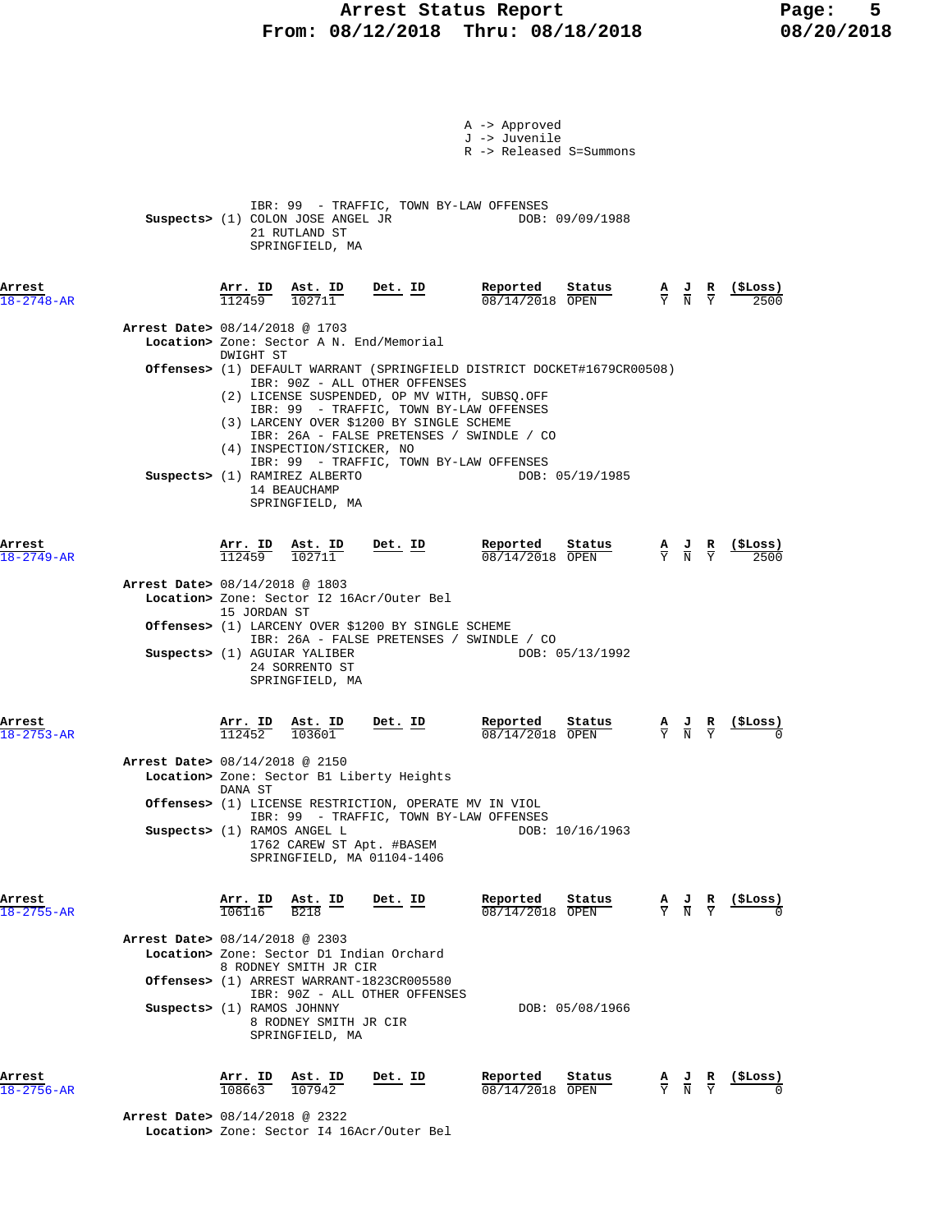# **Arrest Status Report** Page: 5<br>08/12/2018 Thru: 08/18/2018 08/20/2018  **From: 08/12/2018 Thru: 08/18/2018 08/20/2018**

|                            |                                |                          |                                                                                                |                                                                            | A -> Approved<br>J -> Juvenile<br>R -> Released S=Summons                                                                                                                       |                 |                                                                                                 |               |            |
|----------------------------|--------------------------------|--------------------------|------------------------------------------------------------------------------------------------|----------------------------------------------------------------------------|---------------------------------------------------------------------------------------------------------------------------------------------------------------------------------|-----------------|-------------------------------------------------------------------------------------------------|---------------|------------|
|                            |                                |                          | Suspects> (1) COLON JOSE ANGEL JR<br>21 RUTLAND ST<br>SPRINGFIELD, MA                          |                                                                            | IBR: 99 - TRAFFIC, TOWN BY-LAW OFFENSES                                                                                                                                         | DOB: 09/09/1988 |                                                                                                 |               |            |
| Arrest<br>$18 - 2748 - AR$ |                                | Arr. ID<br>112459        | Ast. ID<br>102711                                                                              | Det. ID                                                                    | Reported<br>$08/14/2018$ OPEN                                                                                                                                                   | Status          | $\frac{A}{Y}$ $\frac{J}{N}$ $\frac{R}{Y}$                                                       |               | (ŞLoss)    |
|                            | Arrest Date> 08/14/2018 @ 1703 | DWIGHT ST                |                                                                                                | Location> Zone: Sector A N. End/Memorial                                   |                                                                                                                                                                                 |                 |                                                                                                 |               |            |
|                            |                                |                          |                                                                                                | IBR: 90Z - ALL OTHER OFFENSES                                              | <b>Offenses&gt;</b> (1) DEFAULT WARRANT (SPRINGFIELD DISTRICT DOCKET#1679CR00508)                                                                                               |                 |                                                                                                 |               |            |
|                            |                                |                          | (4) INSPECTION/STICKER, NO<br>Suspects> (1) RAMIREZ ALBERTO<br>14 BEAUCHAMP<br>SPRINGFIELD, MA | (3) LARCENY OVER \$1200 BY SINGLE SCHEME                                   | (2) LICENSE SUSPENDED, OP MV WITH, SUBSQ.OFF<br>IBR: 99 - TRAFFIC, TOWN BY-LAW OFFENSES<br>IBR: 26A - FALSE PRETENSES / SWINDLE / CO<br>IBR: 99 - TRAFFIC, TOWN BY-LAW OFFENSES | DOB: 05/19/1985 |                                                                                                 |               |            |
| Arrest<br>$18 - 2749 - AR$ |                                | <u>Arr. ID</u><br>112459 | $\frac{\texttt{Ast. ID}}{102711}$                                                              | Det. ID                                                                    | Reported<br>08/14/2018 OPEN                                                                                                                                                     | Status          | $\frac{A}{Y}$ $\frac{J}{N}$                                                                     | $\frac{R}{Y}$ | $(5$ Loss) |
|                            | Arrest Date> 08/14/2018 @ 1803 |                          |                                                                                                | Location> Zone: Sector I2 16Acr/Outer Bel                                  |                                                                                                                                                                                 |                 |                                                                                                 |               |            |
|                            |                                | 15 JORDAN ST             | Suspects> (1) AGUIAR YALIBER                                                                   | Offenses> (1) LARCENY OVER \$1200 BY SINGLE SCHEME                         | IBR: 26A - FALSE PRETENSES / SWINDLE / CO                                                                                                                                       | DOB: 05/13/1992 |                                                                                                 |               |            |
|                            |                                |                          | 24 SORRENTO ST<br>SPRINGFIELD, MA                                                              |                                                                            |                                                                                                                                                                                 |                 |                                                                                                 |               |            |
| Arrest<br>$18 - 2753 - AR$ |                                | Arr. ID<br>112452        | Ast. ID<br>103601                                                                              | Det. ID                                                                    | Reported<br>08/14/2018 OPEN                                                                                                                                                     | Status          | $\frac{\mathbf{A}}{\mathbf{Y}}$ $\frac{\mathbf{J}}{\mathbf{N}}$ $\frac{\mathbf{R}}{\mathbf{Y}}$ |               |            |
|                            | Arrest Date> 08/14/2018 @ 2150 | DANA ST                  |                                                                                                | Location> Zone: Sector B1 Liberty Heights                                  |                                                                                                                                                                                 |                 |                                                                                                 |               |            |
|                            |                                |                          |                                                                                                | Offenses> (1) LICENSE RESTRICTION, OPERATE MV IN VIOL                      | IBR: 99 - TRAFFIC, TOWN BY-LAW OFFENSES                                                                                                                                         |                 |                                                                                                 |               |            |
|                            | Suspects> (1) RAMOS ANGEL L    |                          |                                                                                                | 1762 CAREW ST Apt. #BASEM<br>SPRINGFIELD, MA 01104-1406                    |                                                                                                                                                                                 | DOB: 10/16/1963 |                                                                                                 |               |            |
| Arrest<br>$18 - 2755 - AR$ |                                | Arr. ID<br>106116        | Ast. ID<br><b>B218</b>                                                                         | Det. ID                                                                    | Reported<br>08/14/2018 OPEN                                                                                                                                                     | Status          | $\frac{\mathbf{A}}{\mathbf{Y}}$ $\frac{\mathbf{J}}{\mathbf{N}}$ $\frac{\mathbf{R}}{\mathbf{Y}}$ |               | ( \$Loss)  |
|                            | Arrest Date> 08/14/2018 @ 2303 |                          | 8 RODNEY SMITH JR CIR                                                                          | Location> Zone: Sector D1 Indian Orchard                                   |                                                                                                                                                                                 |                 |                                                                                                 |               |            |
|                            | Suspects> (1) RAMOS JOHNNY     |                          |                                                                                                | Offenses> (1) ARREST WARRANT-1823CR005580<br>IBR: 90Z - ALL OTHER OFFENSES |                                                                                                                                                                                 | DOB: 05/08/1966 |                                                                                                 |               |            |
|                            |                                |                          | 8 RODNEY SMITH JR CIR<br>SPRINGFIELD, MA                                                       |                                                                            |                                                                                                                                                                                 |                 |                                                                                                 |               |            |
| Arrest<br>$18 - 2756 - AR$ |                                | Arr. ID<br>108663        | Ast. ID<br>107942                                                                              | Det. ID                                                                    | Reported<br>08/14/2018 OPEN                                                                                                                                                     | Status          | $\frac{\mathbf{A}}{\mathbf{Y}}$ $\frac{\mathbf{J}}{\mathbf{N}}$ $\frac{\mathbf{R}}{\mathbf{Y}}$ |               | (\$Loss)   |

 **Arrest Date>** 08/14/2018 @ 2322  **Location>** Zone: Sector I4 16Acr/Outer Bel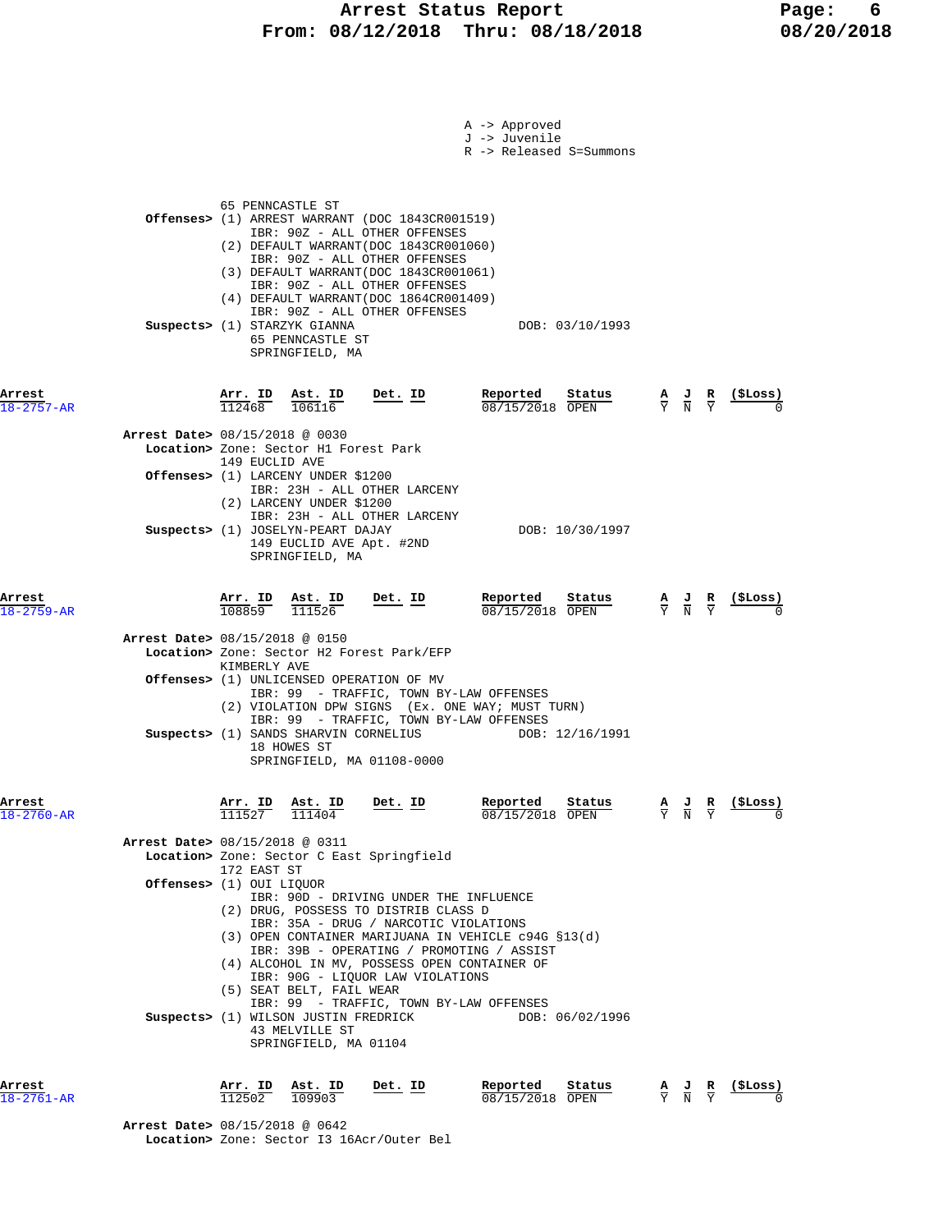# **Arrest Status Report** Page: 6<br>18/12/2018 Thru: 08/18/2018 08/20/2018 **From: 08/12/2018 Thru: 08/18/2018**

|                                      |                                                                                                                                                                                                                                                                                                                                                                                                             | A -> Approved<br>J -> Juvenile<br>R -> Released S=Summons |                                                                                                                   |
|--------------------------------------|-------------------------------------------------------------------------------------------------------------------------------------------------------------------------------------------------------------------------------------------------------------------------------------------------------------------------------------------------------------------------------------------------------------|-----------------------------------------------------------|-------------------------------------------------------------------------------------------------------------------|
|                                      | 65 PENNCASTLE ST<br>Offenses> (1) ARREST WARRANT (DOC 1843CR001519)<br>IBR: 90Z - ALL OTHER OFFENSES<br>(2) DEFAULT WARRANT (DOC 1843CR001060)<br>IBR: 90Z - ALL OTHER OFFENSES<br>(3) DEFAULT WARRANT(DOC 1843CR001061)<br>IBR: 90Z - ALL OTHER OFFENSES<br>(4) DEFAULT WARRANT (DOC 1864CR001409)<br>IBR: 90Z - ALL OTHER OFFENSES<br>Suspects> (1) STARZYK GIANNA<br>65 PENNCASTLE ST<br>SPRINGFIELD, MA | DOB: 03/10/1993                                           |                                                                                                                   |
| Arrest<br>$18 - 2757 - AR$           | Arr. ID<br>Ast. ID<br>$Det$ . ID<br>112468<br>106116                                                                                                                                                                                                                                                                                                                                                        | Reported<br>Status<br>$08/15/2018$ OPEN                   | (ŞLoss)<br>$\frac{\mathbf{A}}{\mathbf{Y}}$ $\frac{\mathbf{J}}{\mathbf{N}}$ $\frac{\mathbf{R}}{\mathbf{Y}}$        |
|                                      | Arrest Date> 08/15/2018 @ 0030<br>Location> Zone: Sector H1 Forest Park<br>149 EUCLID AVE<br>Offenses> (1) LARCENY UNDER \$1200                                                                                                                                                                                                                                                                             |                                                           |                                                                                                                   |
|                                      | IBR: 23H - ALL OTHER LARCENY<br>(2) LARCENY UNDER \$1200<br>IBR: 23H - ALL OTHER LARCENY<br>Suspects> (1) JOSELYN-PEART DAJAY<br>149 EUCLID AVE Apt. #2ND<br>SPRINGFIELD, MA                                                                                                                                                                                                                                | DOB: 10/30/1997                                           |                                                                                                                   |
| Arrest<br>$18 - 2759 - AR$           | Arr. ID Ast. ID<br><u>Det. ID</u><br>108859<br>111526                                                                                                                                                                                                                                                                                                                                                       | Reported<br>Status<br>08/15/2018 OPEN                     | <u>(SLoss)</u><br>$\frac{\mathbf{A}}{\mathbf{Y}}$ $\frac{\mathbf{J}}{\mathbf{N}}$ $\frac{\mathbf{R}}{\mathbf{Y}}$ |
|                                      | Arrest Date> 08/15/2018 @ 0150<br>Location> Zone: Sector H2 Forest Park/EFP<br>KIMBERLY AVE<br><b>Offenses&gt;</b> (1) UNLICENSED OPERATION OF MV<br>IBR: 99 - TRAFFIC, TOWN BY-LAW OFFENSES<br>(2) VIOLATION DPW SIGNS (Ex. ONE WAY; MUST TURN)<br>IBR: 99 - TRAFFIC, TOWN BY-LAW OFFENSES<br>Suspects> (1) SANDS SHARVIN CORNELIUS<br>18 HOWES ST<br>SPRINGFIELD, MA 01108-0000                           | DOB: 12/16/1991                                           |                                                                                                                   |
| Arrest<br>$18 - 2760 - AR$           | $\frac{\texttt{Arr.}}{111527}$<br><u>Ast. ID</u><br>Det. ID                                                                                                                                                                                                                                                                                                                                                 | Reported<br>Status<br>08/15/2018 OPEN                     | (ŞLoss)<br>$\frac{\mathbf{A}}{\mathbf{Y}}$<br>$rac{\mathbf{R}}{\mathbf{Y}}$<br>$\frac{J}{N}$                      |
|                                      | Arrest Date> 08/15/2018 @ 0311<br>Location> Zone: Sector C East Springfield                                                                                                                                                                                                                                                                                                                                 |                                                           |                                                                                                                   |
|                                      | 172 EAST ST<br>Offenses> (1) OUI LIQUOR<br>IBR: 90D - DRIVING UNDER THE INFLUENCE                                                                                                                                                                                                                                                                                                                           |                                                           |                                                                                                                   |
| Suspects> (1) WILSON JUSTIN FREDRICK |                                                                                                                                                                                                                                                                                                                                                                                                             |                                                           |                                                                                                                   |
| Arrest<br>$18 - 2761 - AR$           | Arr. ID<br>Ast. ID<br>Det. ID<br>112502<br>109903                                                                                                                                                                                                                                                                                                                                                           | Reported<br>Status<br>08/15/2018 OPEN                     | (\$Loss)<br>$rac{\mathbf{R}}{\mathbf{Y}}$<br>$\frac{\mathbf{A}}{\mathbf{Y}}$ $\frac{\mathbf{J}}{\mathbf{N}}$      |

 **Arrest Date>** 08/15/2018 @ 0642  **Location>** Zone: Sector I3 16Acr/Outer Bel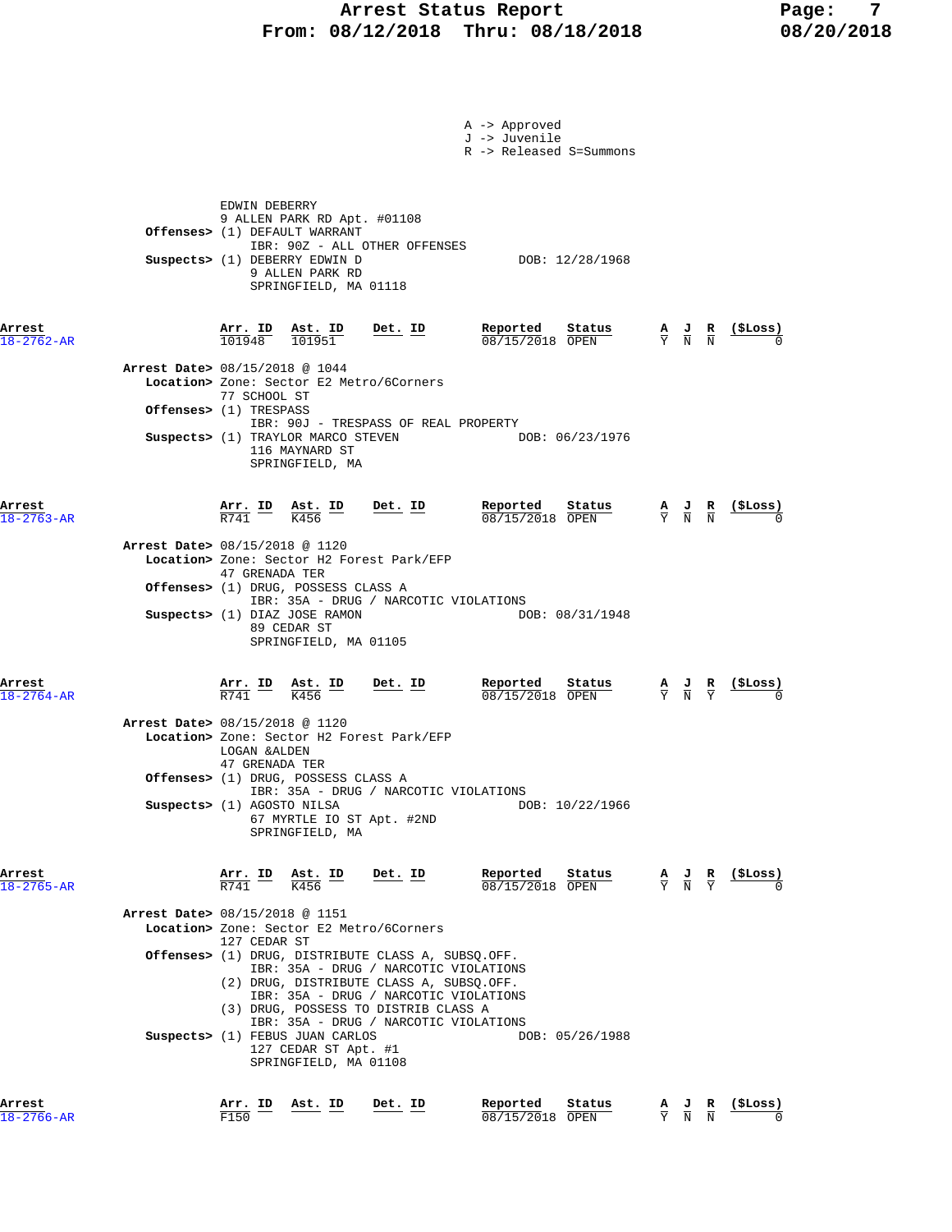## **Arrest Status Report Report Report Report Report Report Report Report Report Report Report Report Report Report Report Report Report Report Report Report Report Report Report Report Report Report Report Report Report Repo From: 08/12/2018 Thru: 08/18/2018 08/20/2018**

|                                |                                                                                   |                                                                                                                                                                                                             |                                                                                  | A -> Approved<br>J -> Juvenile<br>R -> Released S=Summons |                                 |                                           |                                                                                                 |                            |
|--------------------------------|-----------------------------------------------------------------------------------|-------------------------------------------------------------------------------------------------------------------------------------------------------------------------------------------------------------|----------------------------------------------------------------------------------|-----------------------------------------------------------|---------------------------------|-------------------------------------------|-------------------------------------------------------------------------------------------------|----------------------------|
|                                | EDWIN DEBERRY<br>Offenses> (1) DEFAULT WARRANT<br>Suspects> (1) DEBERRY EDWIN D   | 9 ALLEN PARK RD Apt. #01108<br>9 ALLEN PARK RD<br>SPRINGFIELD, MA 01118                                                                                                                                     | IBR: 90Z - ALL OTHER OFFENSES                                                    | DOB: 12/28/1968                                           |                                 |                                           |                                                                                                 |                            |
| Arrest<br>$18 - 2762 - AR$     | $\frac{\texttt{Arr.}}{101948}$ $\frac{\texttt{ Ast.}}{101951}$                    |                                                                                                                                                                                                             | Det. ID                                                                          | Reported<br>Status<br>08/15/2018 OPEN                     |                                 | $\frac{A}{Y}$ $\frac{J}{N}$ $\frac{R}{N}$ |                                                                                                 | $\frac{\text{(}$ SLoss)    |
| Arrest Date> 08/15/2018 @ 1044 | 77 SCHOOL ST<br>Offenses> (1) TRESPASS<br>Suspects> (1) TRAYLOR MARCO STEVEN      | 116 MAYNARD ST<br>SPRINGFIELD, MA                                                                                                                                                                           | Location> Zone: Sector E2 Metro/6Corners<br>IBR: 90J - TRESPASS OF REAL PROPERTY | DOB: 06/23/1976                                           |                                 |                                           |                                                                                                 |                            |
| Arrest<br>$18 - 2763 - AR$     | $\frac{\texttt{Arr.}}{\texttt{R741}}$ ID $\frac{\texttt{Ast.}}{\texttt{K456}}$ ID |                                                                                                                                                                                                             | $Det. ID$                                                                        | Reported Status<br>08/15/2018 OPEN                        |                                 |                                           | $\frac{A}{Y}$ $\frac{J}{N}$ $\frac{R}{N}$                                                       | <u>(\$Loss)</u>            |
| Arrest Date> 08/15/2018 @ 1120 | 47 GRENADA TER<br><b>Offenses&gt;</b> (1) DRUG, POSSESS CLASS A                   |                                                                                                                                                                                                             | Location> Zone: Sector H2 Forest Park/EFP                                        |                                                           |                                 |                                           |                                                                                                 |                            |
|                                | Suspects> (1) DIAZ JOSE RAMON                                                     | 89 CEDAR ST<br>SPRINGFIELD, MA 01105                                                                                                                                                                        | IBR: 35A - DRUG / NARCOTIC VIOLATIONS                                            | DOB: 08/31/1948                                           |                                 |                                           |                                                                                                 |                            |
| Arrest<br>$18 - 2764 - AR$     | <u>Arr. ID</u><br>R741                                                            | $\frac{\text{Ast. ID}}{\text{MATE}}$<br>K456                                                                                                                                                                | Det. ID                                                                          | Reported<br>Status<br>08/15/2018 OPEN                     |                                 | $\frac{A}{Y}$ $\frac{J}{N}$ $\frac{R}{Y}$ |                                                                                                 | $\frac{\text{($Loss)}}{0}$ |
| Arrest Date> 08/15/2018 @ 1120 | LOGAN &ALDEN<br>47 GRENADA TER<br>Offenses> (1) DRUG, POSSESS CLASS A             |                                                                                                                                                                                                             | Location> Zone: Sector H2 Forest Park/EFP                                        |                                                           |                                 |                                           |                                                                                                 |                            |
|                                | Suspects> (1) AGOSTO NILSA                                                        | SPRINGFIELD, MA                                                                                                                                                                                             | IBR: 35A - DRUG / NARCOTIC VIOLATIONS<br>67 MYRTLE IO ST Apt. #2ND               | DOB: 10/22/1966                                           |                                 |                                           |                                                                                                 |                            |
| Arrest<br>$18 - 2765 - AR$     | $\frac{\texttt{Arr.}}{\texttt{R741}}$ ID                                          | Ast. ID<br>K456                                                                                                                                                                                             | Det. ID                                                                          | Reported<br>Status<br>08/15/2018 OPEN                     |                                 |                                           | $\frac{\mathbf{A}}{\mathbf{Y}}$ $\frac{\mathbf{J}}{\mathbf{N}}$ $\frac{\mathbf{R}}{\mathbf{Y}}$ | <u>(\$Loss)</u>            |
| Arrest Date> 08/15/2018 @ 1151 | 127 CEDAR ST                                                                      |                                                                                                                                                                                                             | Location> Zone: Sector E2 Metro/6Corners                                         |                                                           |                                 |                                           |                                                                                                 |                            |
|                                | Offenses> (1) DRUG, DISTRIBUTE CLASS A, SUBSQ.OFF.                                | IBR: 35A - DRUG / NARCOTIC VIOLATIONS<br>(2) DRUG, DISTRIBUTE CLASS A, SUBSQ.OFF.<br>IBR: 35A - DRUG / NARCOTIC VIOLATIONS<br>(3) DRUG, POSSESS TO DISTRIB CLASS A<br>IBR: 35A - DRUG / NARCOTIC VIOLATIONS |                                                                                  |                                                           |                                 |                                           |                                                                                                 |                            |
|                                | Suspects> (1) FEBUS JUAN CARLOS                                                   | 127 CEDAR ST Apt. #1<br>SPRINGFIELD, MA 01108                                                                                                                                                               |                                                                                  | DOB: 05/26/1988                                           |                                 |                                           |                                                                                                 |                            |
| Arrest<br>$18 - 2766 - AR$     | Arr. ID<br>F150                                                                   | Ast. ID                                                                                                                                                                                                     | Det. ID                                                                          | Reported<br>Status<br>08/15/2018 OPEN                     | $\frac{\mathbf{A}}{\mathbf{Y}}$ | $\frac{J}{N}$                             | $\frac{R}{N}$                                                                                   | (\$Loss)                   |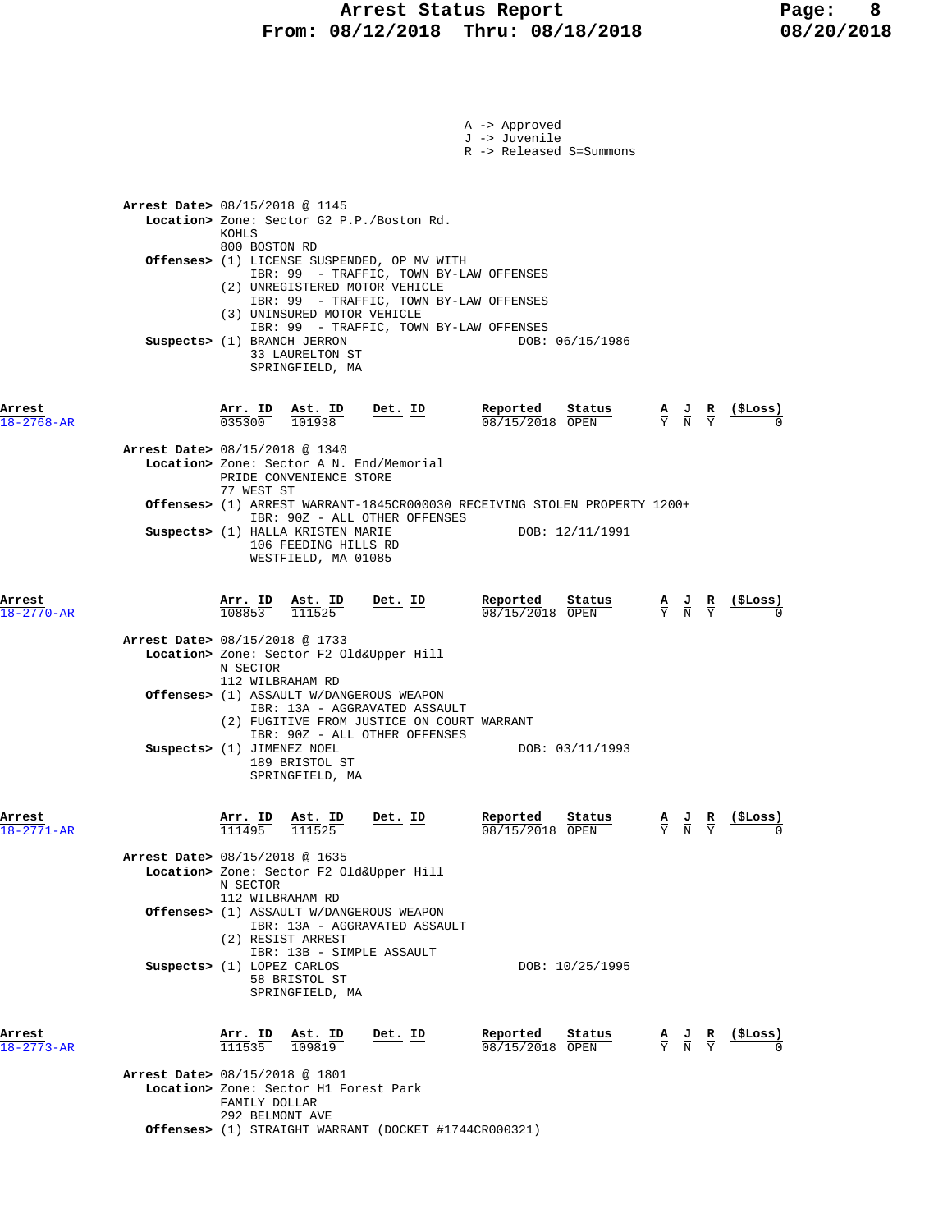|                            |                                          |                                                |                                                                                                                                                   |           |           | A -> Approved<br>J -> Juvenile                                                                                                | R -> Released S=Summons                                                                      |                                                                                                 |                                                                                                 |                 |
|----------------------------|------------------------------------------|------------------------------------------------|---------------------------------------------------------------------------------------------------------------------------------------------------|-----------|-----------|-------------------------------------------------------------------------------------------------------------------------------|----------------------------------------------------------------------------------------------|-------------------------------------------------------------------------------------------------|-------------------------------------------------------------------------------------------------|-----------------|
|                            | Arrest Date> 08/15/2018 @ 1145           | KOHLS                                          | Location> Zone: Sector G2 P.P./Boston Rd.                                                                                                         |           |           |                                                                                                                               |                                                                                              |                                                                                                 |                                                                                                 |                 |
|                            |                                          | 800 BOSTON RD                                  | Offenses> (1) LICENSE SUSPENDED, OP MV WITH<br>(2) UNREGISTERED MOTOR VEHICLE<br>(3) UNINSURED MOTOR VEHICLE                                      |           |           | IBR: 99 - TRAFFIC, TOWN BY-LAW OFFENSES<br>IBR: 99 - TRAFFIC, TOWN BY-LAW OFFENSES<br>IBR: 99 - TRAFFIC, TOWN BY-LAW OFFENSES |                                                                                              |                                                                                                 |                                                                                                 |                 |
|                            | Suspects> (1) BRANCH JERRON              |                                                | 33 LAURELTON ST<br>SPRINGFIELD, MA                                                                                                                |           |           |                                                                                                                               | DOB: 06/15/1986                                                                              |                                                                                                 |                                                                                                 |                 |
| Arrest<br>$18 - 2768 - AR$ |                                          |                                                | $\frac{\text{Arr. ID}}{035300}$ $\frac{\text{Ast. ID}}{101938}$                                                                                   | $Det. ID$ |           | Reported Status $\frac{0.8715}{0.08115}$                                                                                      | $\frac{\text{Status}}{\text{OPEN}}$ $\frac{A}{Y}$ $\frac{J}{N}$ $\frac{R}{Y}$                |                                                                                                 |                                                                                                 | <u>(\$Loss)</u> |
|                            | Arrest Date> 08/15/2018 @ 1340           | 77 WEST ST                                     | Location> Zone: Sector A N. End/Memorial<br>PRIDE CONVENIENCE STORE                                                                               |           |           |                                                                                                                               |                                                                                              |                                                                                                 |                                                                                                 |                 |
|                            |                                          |                                                | IBR: 90Z - ALL OTHER OFFENSES<br>Suspects> (1) HALLA KRISTEN MARIE<br>106 FEEDING HILLS RD<br>WESTFIELD, MA 01085                                 |           |           |                                                                                                                               | Offenses> (1) ARREST WARRANT-1845CR000030 RECEIVING STOLEN PROPERTY 1200+<br>DOB: 12/11/1991 |                                                                                                 |                                                                                                 |                 |
| Arrest<br>$18 - 2770 - AR$ |                                          | <b>Arr. ID Ast. ID</b> $\frac{108853}{111525}$ |                                                                                                                                                   |           | $Det. ID$ | Reported<br>08/15/2018 OPEN                                                                                                   | Status                                                                                       | $\frac{\mathbf{A}}{\mathbf{Y}}$ $\frac{\mathbf{J}}{\mathbf{N}}$ $\frac{\mathbf{R}}{\mathbf{Y}}$ |                                                                                                 |                 |
|                            | Arrest Date> 08/15/2018 @ 1733           | N SECTOR<br>112 WILBRAHAM RD                   | Location> Zone: Sector F2 Old&Upper Hill<br>Offenses> (1) ASSAULT W/DANGEROUS WEAPON                                                              |           |           |                                                                                                                               |                                                                                              |                                                                                                 |                                                                                                 |                 |
|                            | Suspects> (1) JIMENEZ NOEL               |                                                | IBR: 13A - AGGRAVATED ASSAULT<br>(2) FUGITIVE FROM JUSTICE ON COURT WARRANT<br>IBR: 90Z - ALL OTHER OFFENSES<br>189 BRISTOL ST<br>SPRINGFIELD, MA |           |           |                                                                                                                               | DOB: 03/11/1993                                                                              |                                                                                                 |                                                                                                 |                 |
| Arrest<br>$18 - 2771 - AR$ |                                          | Arr. ID<br>111495                              | Ast. ID<br>111525                                                                                                                                 | Det. ID   |           | Reported<br>08/15/2018 OPEN                                                                                                   | Status                                                                                       |                                                                                                 | $\frac{\mathbf{A}}{\mathbf{Y}}$ $\frac{\mathbf{J}}{\mathbf{N}}$ $\frac{\mathbf{R}}{\mathbf{Y}}$ | (ŞLoss)         |
|                            | Arrest Date> 08/15/2018 @ 1635           | N SECTOR<br>112 WILBRAHAM RD                   | Location> Zone: Sector F2 Old&Upper Hill                                                                                                          |           |           |                                                                                                                               |                                                                                              |                                                                                                 |                                                                                                 |                 |
|                            |                                          |                                                | Offenses> (1) ASSAULT W/DANGEROUS WEAPON<br>IBR: 13A - AGGRAVATED ASSAULT<br>(2) RESIST ARREST<br>IBR: 13B - SIMPLE ASSAULT                       |           |           |                                                                                                                               |                                                                                              |                                                                                                 |                                                                                                 |                 |
|                            | Suspects> (1) LOPEZ CARLOS               |                                                | 58 BRISTOL ST<br>SPRINGFIELD, MA                                                                                                                  |           |           |                                                                                                                               | DOB: 10/25/1995                                                                              |                                                                                                 |                                                                                                 |                 |
| Arrest<br>$18 - 2773 - AR$ |                                          | $\frac{\texttt{Arr.}}{111535}$                 | <u>Ast. ID</u><br>109819                                                                                                                          | Det. ID   |           | Reported<br>08/15/2018 OPEN                                                                                                   | Status                                                                                       |                                                                                                 | $\frac{\mathbf{A}}{\mathbf{Y}}$ $\frac{\mathbf{J}}{\mathbf{N}}$ $\frac{\mathbf{R}}{\mathbf{Y}}$ | <u>(\$Loss)</u> |
|                            | <b>Arrest Date&gt; 08/15/2018 @ 1801</b> | FAMILY DOLLAR<br>292 BELMONT AVE               | Location> Zone: Sector H1 Forest Park                                                                                                             |           |           |                                                                                                                               |                                                                                              |                                                                                                 |                                                                                                 |                 |
|                            |                                          |                                                | <b>Offenses&gt;</b> (1) STRAIGHT WARRANT (DOCKET #1744CR000321)                                                                                   |           |           |                                                                                                                               |                                                                                              |                                                                                                 |                                                                                                 |                 |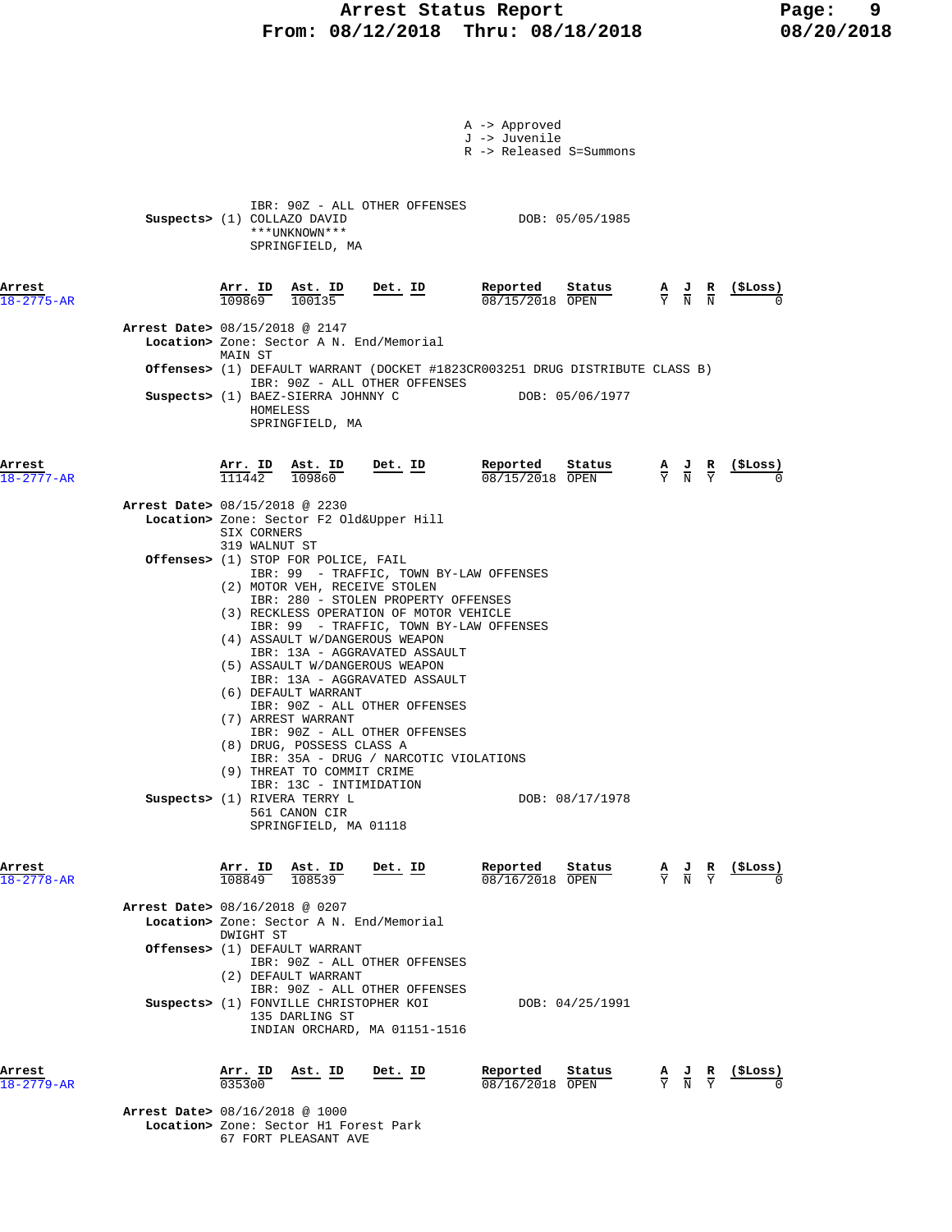## **Arrest Status Report Page: 9 From: 08/12/2018 Thru: 08/18/2018 08/20/2018**

|                            |                                |                           |                                                                                                                                                                                                                                                            |                                                                                                                                                                                                                                                                                                                         | A -> Approved<br>J -> Juvenile                                                                                              | R -> Released S=Summons                                                          |                                           |                                                    |
|----------------------------|--------------------------------|---------------------------|------------------------------------------------------------------------------------------------------------------------------------------------------------------------------------------------------------------------------------------------------------|-------------------------------------------------------------------------------------------------------------------------------------------------------------------------------------------------------------------------------------------------------------------------------------------------------------------------|-----------------------------------------------------------------------------------------------------------------------------|----------------------------------------------------------------------------------|-------------------------------------------|----------------------------------------------------|
|                            | Suspects> (1) COLLAZO DAVID    |                           | ***UNKNOWN***<br>SPRINGFIELD, MA                                                                                                                                                                                                                           | IBR: 90Z - ALL OTHER OFFENSES                                                                                                                                                                                                                                                                                           |                                                                                                                             | DOB: 05/05/1985                                                                  |                                           |                                                    |
| Arrest<br>$18 - 2775 - AR$ |                                |                           | $\frac{\texttt{Arr. ID}}{109869}$ $\frac{\texttt{ Ast. ID}}{100135}$                                                                                                                                                                                       | $Det. ID$                                                                                                                                                                                                                                                                                                               | Reported                                                                                                                    | Status<br>08/15/2018 OPEN                                                        |                                           | $\frac{A}{Y}$ $\frac{J}{N}$ $\frac{R}{N}$ (\$Loss) |
|                            | Arrest Date> 08/15/2018 @ 2147 |                           |                                                                                                                                                                                                                                                            | Location> Zone: Sector A N. End/Memorial                                                                                                                                                                                                                                                                                |                                                                                                                             |                                                                                  |                                           |                                                    |
|                            |                                | MAIN ST                   |                                                                                                                                                                                                                                                            |                                                                                                                                                                                                                                                                                                                         | <b>Offenses&gt;</b> (1) DEFAULT WARRANT (DOCKET #1823CR003251 DRUG DISTRIBUTE CLASS B)                                      |                                                                                  |                                           |                                                    |
|                            |                                | HOMELESS                  | Suspects> (1) BAEZ-SIERRA JOHNNY C<br>SPRINGFIELD, MA                                                                                                                                                                                                      | IBR: 90Z - ALL OTHER OFFENSES                                                                                                                                                                                                                                                                                           |                                                                                                                             | DOB: 05/06/1977                                                                  |                                           |                                                    |
| Arrest<br>$18 - 2777 - AR$ |                                |                           | $\frac{\texttt{Arr.}}{111442}$ $\frac{\texttt{lab}}{109860}$                                                                                                                                                                                               | $Det. ID$                                                                                                                                                                                                                                                                                                               | Reported                                                                                                                    | $\frac{\texttt{Status}}{\texttt{OPER}}$ <b>A J R</b> (\$Loss)<br>08/15/2018 OPEN |                                           |                                                    |
|                            | Arrest Date> 08/15/2018 @ 2230 | SIX CORNERS               |                                                                                                                                                                                                                                                            | Location> Zone: Sector F2 Old&Upper Hill                                                                                                                                                                                                                                                                                |                                                                                                                             |                                                                                  |                                           |                                                    |
|                            |                                | 319 WALNUT ST             | <b>Offenses&gt;</b> (1) STOP FOR POLICE, FAIL<br>(6) DEFAULT WARRANT<br>(7) ARREST WARRANT<br>(8) DRUG, POSSESS CLASS A<br>(9) THREAT TO COMMIT CRIME<br>IBR: 13C - INTIMIDATION<br>Suspects> (1) RIVERA TERRY L<br>561 CANON CIR<br>SPRINGFIELD, MA 01118 | (2) MOTOR VEH, RECEIVE STOLEN<br>IBR: 280 - STOLEN PROPERTY OFFENSES<br>(3) RECKLESS OPERATION OF MOTOR VEHICLE<br>(4) ASSAULT W/DANGEROUS WEAPON<br>IBR: 13A - AGGRAVATED ASSAULT<br>(5) ASSAULT W/DANGEROUS WEAPON<br>IBR: 13A - AGGRAVATED ASSAULT<br>IBR: 90Z - ALL OTHER OFFENSES<br>IBR: 90Z - ALL OTHER OFFENSES | IBR: 99 - TRAFFIC, TOWN BY-LAW OFFENSES<br>IBR: 99 - TRAFFIC, TOWN BY-LAW OFFENSES<br>IBR: 35A - DRUG / NARCOTIC VIOLATIONS | DOB: 08/17/1978                                                                  |                                           |                                                    |
| Arrest<br>$18 - 2778 - AR$ |                                |                           | Arr. ID Ast. ID<br>108849 108539                                                                                                                                                                                                                           | Det. ID                                                                                                                                                                                                                                                                                                                 | Reported<br>08/16/2018 OPEN                                                                                                 | Status                                                                           | $\frac{A}{Y}$ $\frac{J}{N}$ $\frac{R}{Y}$ | (ŞLoss)                                            |
|                            | Arrest Date> 08/16/2018 @ 0207 | DWIGHT ST                 |                                                                                                                                                                                                                                                            | Location> Zone: Sector A N. End/Memorial                                                                                                                                                                                                                                                                                |                                                                                                                             |                                                                                  |                                           |                                                    |
|                            |                                |                           | Offenses> (1) DEFAULT WARRANT<br>(2) DEFAULT WARRANT                                                                                                                                                                                                       | IBR: 90Z - ALL OTHER OFFENSES                                                                                                                                                                                                                                                                                           |                                                                                                                             |                                                                                  |                                           |                                                    |
|                            |                                |                           | Suspects> (1) FONVILLE CHRISTOPHER KOI<br>135 DARLING ST                                                                                                                                                                                                   | IBR: 90Z - ALL OTHER OFFENSES<br>INDIAN ORCHARD, MA 01151-1516                                                                                                                                                                                                                                                          |                                                                                                                             | DOB: 04/25/1991                                                                  |                                           |                                                    |
| Arrest<br>$18 - 2779 - AR$ |                                | <u>Arr. ID</u><br>0.35300 | <u>Ast. ID</u>                                                                                                                                                                                                                                             | <u>Det. ID</u>                                                                                                                                                                                                                                                                                                          | Reported<br>08/16/2018 OPEN                                                                                                 | Status                                                                           | $\frac{A}{Y}$ $\frac{J}{N}$ $\frac{R}{Y}$ | $(5$ Loss)                                         |
|                            | Arrest Date> 08/16/2018 @ 1000 |                           | Location> Zone: Sector H1 Forest Park                                                                                                                                                                                                                      |                                                                                                                                                                                                                                                                                                                         |                                                                                                                             |                                                                                  |                                           |                                                    |

67 FORT PLEASANT AVE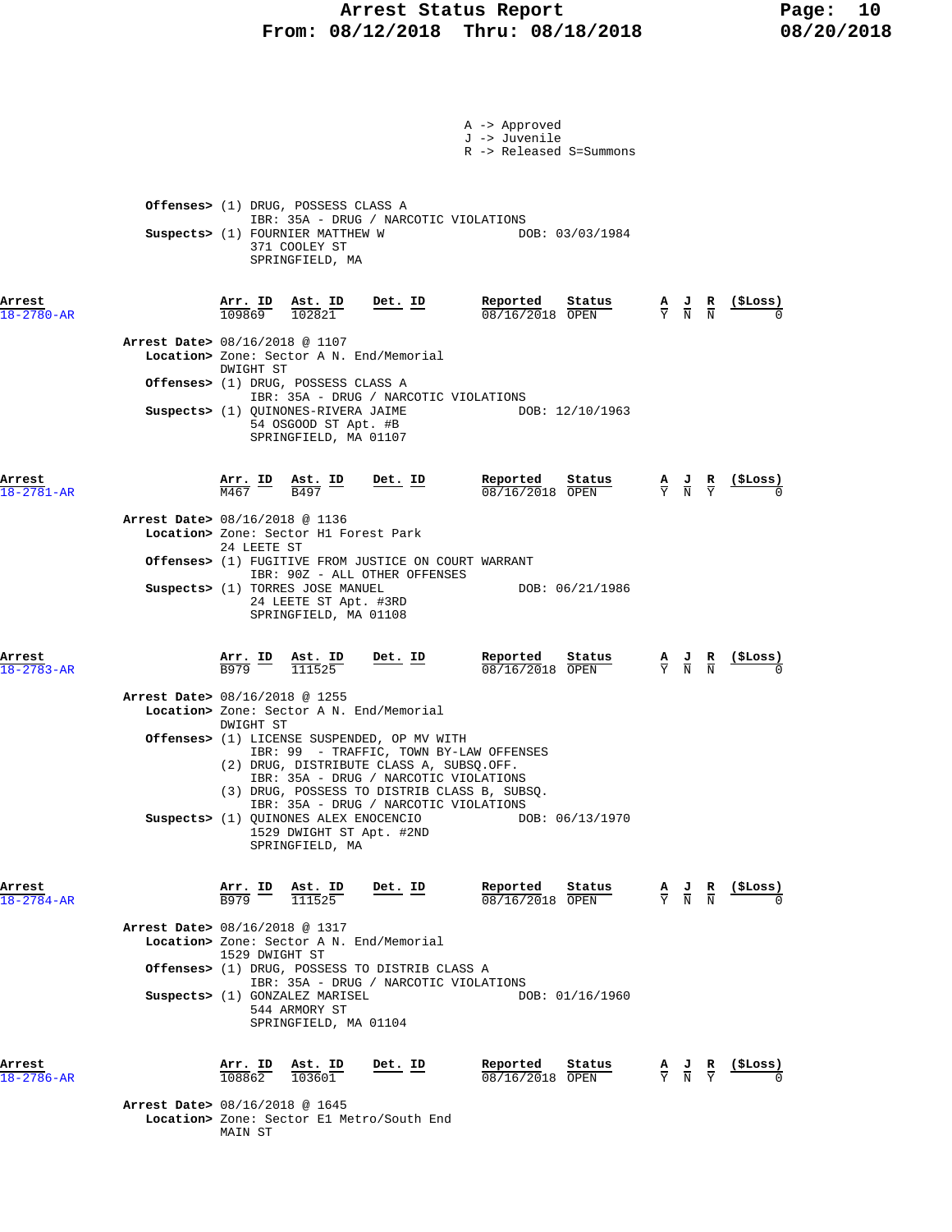## Arrest Status Report Fage: 10  **From: 08/12/2018 Thru: 08/18/2018 08/20/2018**

|                            | A -> Approved<br>J -> Juvenile<br>R -> Released S=Summons                                                                                                                                                                                                                                                              |                                                                                                                   |
|----------------------------|------------------------------------------------------------------------------------------------------------------------------------------------------------------------------------------------------------------------------------------------------------------------------------------------------------------------|-------------------------------------------------------------------------------------------------------------------|
|                            | Offenses> (1) DRUG, POSSESS CLASS A<br>IBR: 35A - DRUG / NARCOTIC VIOLATIONS<br>Suspects> (1) FOURNIER MATTHEW W<br>DOB: 03/03/1984<br>371 COOLEY ST<br>SPRINGFIELD, MA                                                                                                                                                |                                                                                                                   |
| Arrest<br>$18 - 2780 - AR$ | Det. ID<br>$\frac{\texttt{Arr.}}{109869}$<br>$\frac{\texttt{Ast.}}{102821}$                                                                                                                                                                                                                                            | $\frac{\mathbf{A}}{\mathbf{Y}}$ $\frac{\mathbf{J}}{\mathbf{N}}$ $\frac{\mathbf{R}}{\mathbf{N}}$                   |
|                            | Arrest Date> 08/16/2018 @ 1107<br>Location> Zone: Sector A N. End/Memorial<br>DWIGHT ST<br>Offenses> (1) DRUG, POSSESS CLASS A                                                                                                                                                                                         |                                                                                                                   |
|                            | IBR: 35A - DRUG / NARCOTIC VIOLATIONS<br>Suspects> (1) QUINONES-RIVERA JAIME<br>DOB: 12/10/1963<br>54 OSGOOD ST Apt. #B<br>SPRINGFIELD, MA 01107                                                                                                                                                                       |                                                                                                                   |
| Arrest<br>$18 - 2781 - AR$ | <u>Reported</u><br>Status<br>$\frac{\texttt{Arr.}}{\texttt{M467}}$ ID<br>$\frac{\texttt{Ast.}}{\texttt{B497}}$ ID<br><u>Det. ID</u><br>08/16/2018 OPEN                                                                                                                                                                 | <u>(SLoss)</u><br>$\frac{\mathbf{A}}{\mathbf{Y}}$ $\frac{\mathbf{J}}{\mathbf{N}}$ $\frac{\mathbf{R}}{\mathbf{Y}}$ |
|                            | Arrest Date> 08/16/2018 @ 1136<br>Location> Zone: Sector H1 Forest Park<br>24 LEETE ST<br><b>Offenses&gt;</b> (1) FUGITIVE FROM JUSTICE ON COURT WARRANT                                                                                                                                                               |                                                                                                                   |
|                            | IBR: 90Z - ALL OTHER OFFENSES<br>Suspects> (1) TORRES JOSE MANUEL<br>DOB: 06/21/1986<br>24 LEETE ST Apt. #3RD<br>SPRINGFIELD, MA 01108                                                                                                                                                                                 |                                                                                                                   |
| Arrest<br>$18 - 2783 - AR$ | Det. ID<br>Reported<br>Status<br>$\frac{\text{Arr.}}{\text{B979}}$ ID<br>$\frac{\texttt{Ast. ID}}{111525}$<br>08/16/2018 OPEN                                                                                                                                                                                          | $\frac{\mathbf{A}}{\mathbf{Y}}$ $\frac{\mathbf{J}}{\mathbf{N}}$ $\frac{\mathbf{R}}{\mathbf{N}}$                   |
|                            | Arrest Date> 08/16/2018 @ 1255<br>Location> Zone: Sector A N. End/Memorial<br>DWIGHT ST<br>Offenses> (1) LICENSE SUSPENDED, OP MV WITH<br>IBR: 99 - TRAFFIC, TOWN BY-LAW OFFENSES<br>(2) DRUG, DISTRIBUTE CLASS A, SUBSQ.OFF.<br>IBR: 35A - DRUG / NARCOTIC VIOLATIONS<br>(3) DRUG, POSSESS TO DISTRIB CLASS B, SUBSQ. |                                                                                                                   |
|                            | IBR: 35A - DRUG / NARCOTIC VIOLATIONS<br>Suspects> (1) QUINONES ALEX ENOCENCIO<br>DOB: 06/13/1970<br>1529 DWIGHT ST Apt. #2ND<br>SPRINGFIELD, MA                                                                                                                                                                       |                                                                                                                   |
| Arrest<br>$18 - 2784 - AR$ | Reported<br>Arr. ID<br>Ast. ID<br>Det. ID<br>Status<br>111525<br>B979<br>$08/16/2018$ OPEN                                                                                                                                                                                                                             | (ŞLoss)<br>$\frac{A}{Y}$ $\frac{J}{N}$ $\frac{R}{N}$                                                              |
|                            | Arrest Date> 08/16/2018 @ 1317<br>Location> Zone: Sector A N. End/Memorial<br>1529 DWIGHT ST<br><b>Offenses&gt;</b> (1) DRUG, POSSESS TO DISTRIB CLASS A                                                                                                                                                               |                                                                                                                   |
|                            | IBR: 35A - DRUG / NARCOTIC VIOLATIONS<br>Suspects> (1) GONZALEZ MARISEL<br>DOB: 01/16/1960<br>544 ARMORY ST<br>SPRINGFIELD, MA 01104                                                                                                                                                                                   |                                                                                                                   |
| Arrest<br>$18 - 2786 - AR$ | Reported<br>Arr. ID Ast. ID<br>Det. ID<br>Status<br>108862<br>103601<br>08/16/2018 OPEN                                                                                                                                                                                                                                | (ŞLoss)<br>$\frac{A}{Y}$ $\frac{J}{N}$ $\frac{R}{Y}$                                                              |
|                            | <b>Arrest Date&gt; 08/16/2018 @ 1645</b><br>Location> Zone: Sector El Metro/South End<br>MAIN ST                                                                                                                                                                                                                       |                                                                                                                   |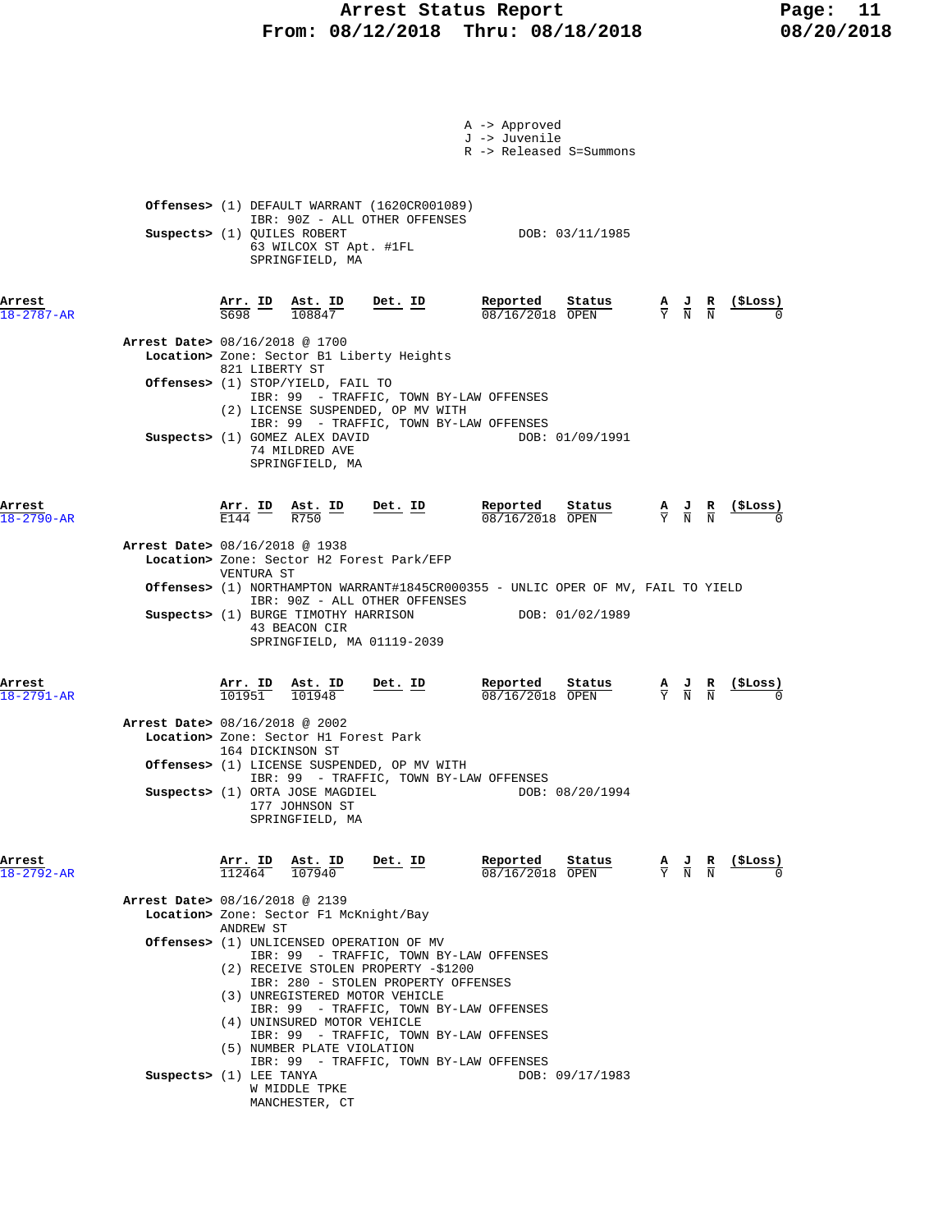## Arrest Status Report Fage: 11  **From: 08/12/2018 Thru: 08/18/2018 08/20/2018**

| A -> Approved<br>J -> Juvenile<br>R -> Released S=Summons                                                                                                                                                                                                                                                                                                                                                                                                                                                                                                                                                                                                                                                                                                  |
|------------------------------------------------------------------------------------------------------------------------------------------------------------------------------------------------------------------------------------------------------------------------------------------------------------------------------------------------------------------------------------------------------------------------------------------------------------------------------------------------------------------------------------------------------------------------------------------------------------------------------------------------------------------------------------------------------------------------------------------------------------|
| <b>Offenses&gt;</b> (1) DEFAULT WARRANT (1620CR001089)<br>IBR: 90Z - ALL OTHER OFFENSES<br>Suspects> (1) QUILES ROBERT<br>DOB: 03/11/1985<br>63 WILCOX ST Apt. #1FL<br>SPRINGFIELD, MA                                                                                                                                                                                                                                                                                                                                                                                                                                                                                                                                                                     |
| Reported<br>$\frac{\text{Arr.}}{\text{S698}}$ $\frac{\text{ID}}{\text{108847}}$<br><u>Det. ID</u><br>$\frac{\text{Status}}{\text{start}}$<br><u>(ŞLoss)</u><br>$\frac{\mathbf{A}}{\mathbf{Y}}$ $\frac{\mathbf{J}}{\mathbf{N}}$ $\frac{\mathbf{R}}{\mathbf{N}}$<br>08/16/2018 OPEN<br>Arrest Date> 08/16/2018 @ 1700<br>Location> Zone: Sector B1 Liberty Heights<br>821 LIBERTY ST<br><b>Offenses&gt;</b> (1) STOP/YIELD, FAIL TO<br>IBR: 99 - TRAFFIC, TOWN BY-LAW OFFENSES<br>(2) LICENSE SUSPENDED, OP MV WITH<br>IBR: 99 - TRAFFIC, TOWN BY-LAW OFFENSES<br>Suspects> (1) GOMEZ ALEX DAVID<br>DOB: 01/09/1991<br>74 MILDRED AVE<br>SPRINGFIELD, MA                                                                                                     |
| <b>Reported</b> Status A J R<br>$\frac{1}{18}/16/2018$ OPEN $\frac{1}{Y}$ N N<br>$\frac{\text{Arr.}}{\text{E144}}$ ID $\frac{\text{Ast.}}{\text{R750}}$ ID<br>$Det. ID$<br>(SLoss)<br>$08/16/2018$ OPEN<br>Arrest Date> 08/16/2018 @ 1938<br>Location> Zone: Sector H2 Forest Park/EFP<br>VENTURA ST<br>Offenses> (1) NORTHAMPTON WARRANT#1845CR000355 - UNLIC OPER OF MV, FAIL TO YIELD<br>IBR: 90Z - ALL OTHER OFFENSES<br>Suspects> (1) BURGE TIMOTHY HARRISON DOB: 01/02/1989<br>43 BEACON CIR<br>SPRINGFIELD, MA 01119-2039                                                                                                                                                                                                                           |
| Reported<br>$\frac{\texttt{Arr. ID}}{101951}$ $\frac{\texttt{ Ast. ID}}{101948}$<br><u>Det. ID</u><br>Status<br>$\frac{A}{Y}$ $\frac{J}{N}$ $\frac{R}{N}$ (\$Loss)<br>08/16/2018 OPEN<br>Arrest Date> 08/16/2018 @ 2002<br>Location> Zone: Sector H1 Forest Park<br>164 DICKINSON ST<br><b>Offenses&gt;</b> (1) LICENSE SUSPENDED, OP MV WITH<br>IBR: 99 - TRAFFIC, TOWN BY-LAW OFFENSES<br>Suspects> (1) ORTA JOSE MAGDIEL<br>DOB: 08/20/1994<br>177 JOHNSON ST<br>SPRINGFIELD, MA                                                                                                                                                                                                                                                                        |
| Reported<br>$\frac{A}{Y}$ $\frac{J}{N}$ $\frac{R}{N}$ $\frac{($Loss)}{0}$<br>$\frac{\texttt{Arr.}}{112464}$ $\frac{\texttt{lab}}{107940}$<br>$Det. ID$<br>Status<br>08/16/2018 OPEN<br>Arrest Date> 08/16/2018 @ 2139<br>Location> Zone: Sector F1 McKnight/Bay<br>ANDREW ST<br><b>Offenses&gt;</b> (1) UNLICENSED OPERATION OF MV<br>IBR: 99 - TRAFFIC, TOWN BY-LAW OFFENSES<br>(2) RECEIVE STOLEN PROPERTY -\$1200<br>IBR: 280 - STOLEN PROPERTY OFFENSES<br>(3) UNREGISTERED MOTOR VEHICLE<br>IBR: 99 - TRAFFIC, TOWN BY-LAW OFFENSES<br>(4) UNINSURED MOTOR VEHICLE<br>IBR: 99 - TRAFFIC, TOWN BY-LAW OFFENSES<br>(5) NUMBER PLATE VIOLATION<br>IBR: 99 - TRAFFIC, TOWN BY-LAW OFFENSES<br>Suspects> (1) LEE TANYA<br>DOB: 09/17/1983<br>W MIDDLE TPKE |
|                                                                                                                                                                                                                                                                                                                                                                                                                                                                                                                                                                                                                                                                                                                                                            |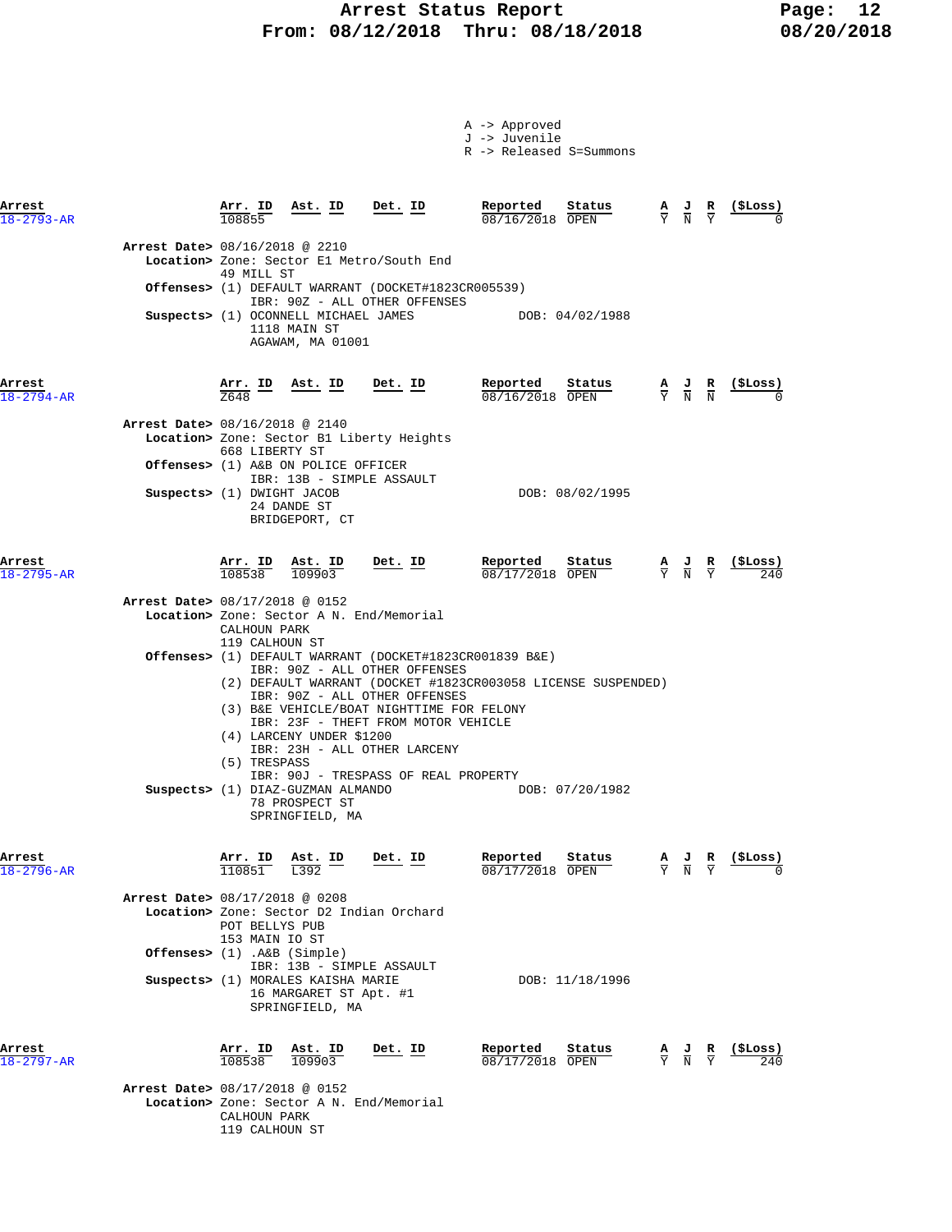## Arrest Status Report Fage: 12  **From: 08/12/2018 Thru: 08/18/2018 08/20/2018**

A -> Approved

|                            |                                 |                                  |                                                                                                                |                                                                                                                                                                                                                                               | J -> Juvenile<br>R -> Released S=Summons                                                                     |                                                                                                 |                                           |                |
|----------------------------|---------------------------------|----------------------------------|----------------------------------------------------------------------------------------------------------------|-----------------------------------------------------------------------------------------------------------------------------------------------------------------------------------------------------------------------------------------------|--------------------------------------------------------------------------------------------------------------|-------------------------------------------------------------------------------------------------|-------------------------------------------|----------------|
| Arrest<br>$18 - 2793 - AR$ |                                 | 108855                           | $\frac{\text{Arr. ID}}{\frac{1000}{1000}}$ $\frac{\text{Ast. ID}}{\text{B}}$ $\frac{\text{Det. ID}}{\text{B}}$ |                                                                                                                                                                                                                                               | Reported<br>Status<br>08/16/2018 OPEN                                                                        |                                                                                                 | $\frac{A}{Y}$ $\frac{J}{N}$ $\frac{R}{Y}$ | (SLoss)        |
|                            | Arrest Date> 08/16/2018 @ 2210  | 49 MILL ST                       |                                                                                                                | Location> Zone: Sector El Metro/South End                                                                                                                                                                                                     |                                                                                                              |                                                                                                 |                                           |                |
|                            |                                 |                                  |                                                                                                                | Offenses> (1) DEFAULT WARRANT (DOCKET#1823CR005539)                                                                                                                                                                                           |                                                                                                              |                                                                                                 |                                           |                |
|                            |                                 |                                  | Suspects> (1) OCONNELL MICHAEL JAMES<br>1118 MAIN ST<br>AGAWAM, MA 01001                                       | IBR: 90Z - ALL OTHER OFFENSES                                                                                                                                                                                                                 | DOB: 04/02/1988                                                                                              |                                                                                                 |                                           |                |
| Arrest<br>$18 - 2794 - AR$ |                                 | Z648                             |                                                                                                                | Arr. ID Ast. ID Det. ID                                                                                                                                                                                                                       | Reported<br>$\frac{\text{Status}}{\text{OPEN}}$ $\frac{A}{Y}$ $\frac{J}{N}$ $\frac{R}{N}$<br>08/16/2018 OPEN |                                                                                                 |                                           | (ŞLoss)        |
|                            | Arrest Date> 08/16/2018 @ 2140  |                                  |                                                                                                                | Location> Zone: Sector B1 Liberty Heights                                                                                                                                                                                                     |                                                                                                              |                                                                                                 |                                           |                |
|                            |                                 | 668 LIBERTY ST                   | Offenses> (1) A&B ON POLICE OFFICER<br>IBR: 13B - SIMPLE ASSAULT                                               |                                                                                                                                                                                                                                               |                                                                                                              |                                                                                                 |                                           |                |
|                            | Suspects> (1) DWIGHT JACOB      |                                  | 24 DANDE ST<br>BRIDGEPORT, CT                                                                                  |                                                                                                                                                                                                                                               | DOB: 08/02/1995                                                                                              |                                                                                                 |                                           |                |
| Arrest<br>$18 - 2795 - AR$ |                                 | $\frac{\texttt{Arr.}}{108538}$   | $\frac{\texttt{Ast.}}{109903}$                                                                                 | <u>Det.</u> ID                                                                                                                                                                                                                                | Reported<br>Status<br>08/17/2018 OPEN                                                                        | $\frac{A}{Y}$ $\frac{J}{N}$                                                                     | $\frac{R}{Y}$                             | <u>(SLoss)</u> |
|                            | Arrest Date> 08/17/2018 @ 0152  | CALHOUN PARK<br>119 CALHOUN ST   |                                                                                                                | Location> Zone: Sector A N. End/Memorial                                                                                                                                                                                                      |                                                                                                              |                                                                                                 |                                           |                |
|                            |                                 | (5) TRESPASS                     | (4) LARCENY UNDER \$1200                                                                                       | Offenses> (1) DEFAULT WARRANT (DOCKET#1823CR001839 B&E)<br>IBR: 90Z - ALL OTHER OFFENSES<br>IBR: 90Z - ALL OTHER OFFENSES<br>(3) B&E VEHICLE/BOAT NIGHTTIME FOR FELONY<br>IBR: 23F - THEFT FROM MOTOR VEHICLE<br>IBR: 23H - ALL OTHER LARCENY | (2) DEFAULT WARRANT (DOCKET #1823CR003058 LICENSE SUSPENDED)                                                 |                                                                                                 |                                           |                |
|                            |                                 |                                  | Suspects> (1) DIAZ-GUZMAN ALMANDO<br>78 PROSPECT ST<br>SPRINGFIELD, MA                                         | IBR: 90J - TRESPASS OF REAL PROPERTY                                                                                                                                                                                                          | DOB: 07/20/1982                                                                                              |                                                                                                 |                                           |                |
| Arrest<br>$18 - 2796 - AR$ |                                 | . ID<br>110851                   | Ast. ID<br>L392                                                                                                | Det. ID                                                                                                                                                                                                                                       | Reported<br>Status<br>08/17/2018 OPEN                                                                        | $\frac{\mathbf{A}}{\mathbf{Y}}$ $\frac{\mathbf{J}}{\mathbf{N}}$                                 | $rac{\mathbf{R}}{\mathrm{Y}}$             | (ŞLoss)        |
|                            | Arrest Date> 08/17/2018 @ 0208  | POT BELLYS PUB<br>153 MAIN IO ST |                                                                                                                | Location> Zone: Sector D2 Indian Orchard                                                                                                                                                                                                      |                                                                                                              |                                                                                                 |                                           |                |
|                            | Offenses> $(1)$ .A&B $(Simple)$ |                                  | IBR: 13B - SIMPLE ASSAULT                                                                                      |                                                                                                                                                                                                                                               |                                                                                                              |                                                                                                 |                                           |                |
|                            |                                 |                                  | Suspects> (1) MORALES KAISHA MARIE<br>16 MARGARET ST Apt. #1<br>SPRINGFIELD, MA                                |                                                                                                                                                                                                                                               | DOB: 11/18/1996                                                                                              |                                                                                                 |                                           |                |
| Arrest<br>$18 - 2797 - AR$ |                                 | Arr. ID<br>108538                | Ast. ID<br>109903                                                                                              | Det. ID                                                                                                                                                                                                                                       | Reported<br>Status<br>08/17/2018 OPEN                                                                        | $\frac{\mathbf{A}}{\mathbf{Y}}$ $\frac{\mathbf{J}}{\mathbf{N}}$ $\frac{\mathbf{R}}{\mathbf{Y}}$ |                                           | (ŞLoss)<br>240 |
|                            | Arrest Date> 08/17/2018 @ 0152  | CALHOUN PARK<br>119 CALHOUN ST   |                                                                                                                | Location> Zone: Sector A N. End/Memorial                                                                                                                                                                                                      |                                                                                                              |                                                                                                 |                                           |                |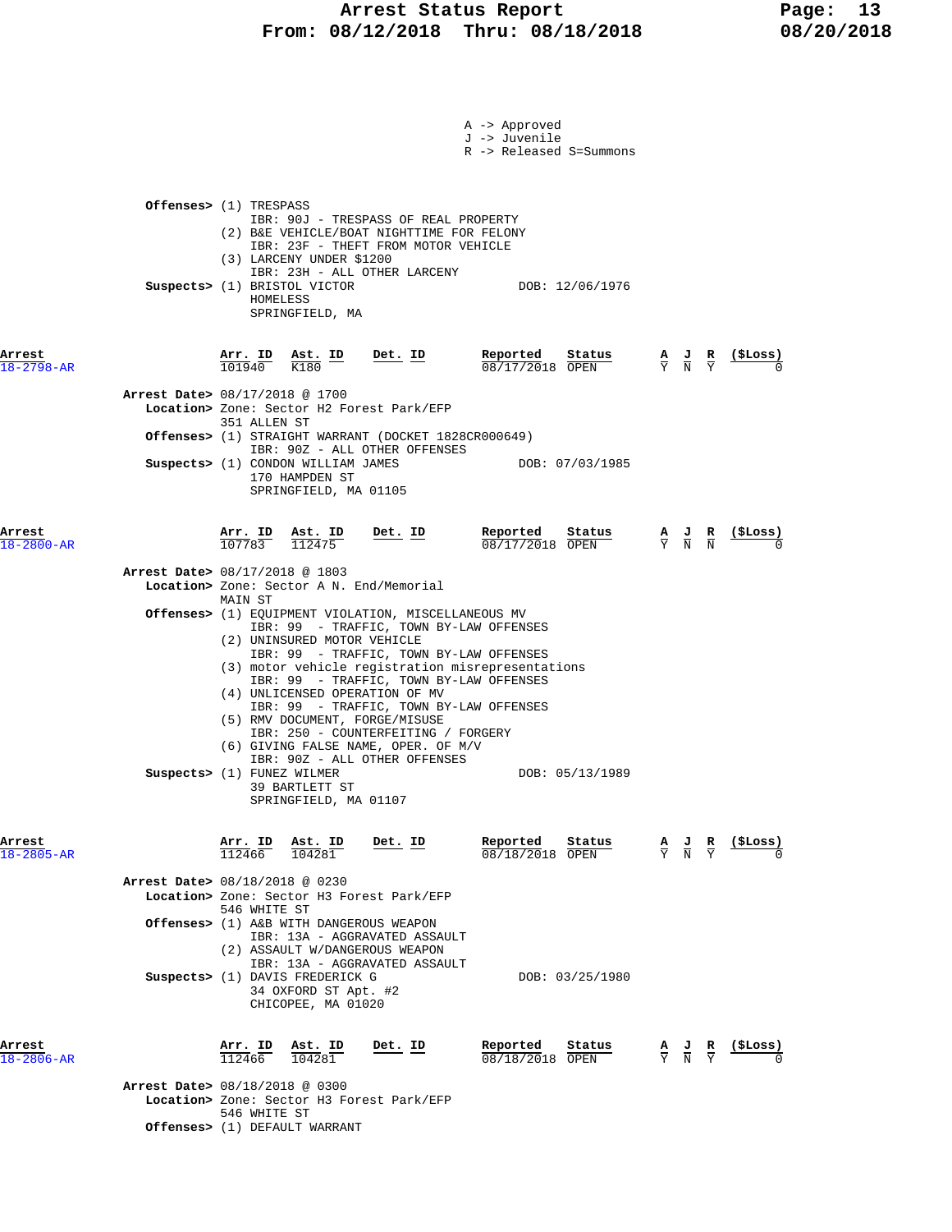|                            | A -> Approved<br>J -> Juvenile<br>R -> Released S=Summons<br><b>Offenses&gt;</b> (1) TRESPASS<br>IBR: 90J - TRESPASS OF REAL PROPERTY<br>(2) B&E VEHICLE/BOAT NIGHTTIME FOR FELONY<br>IBR: 23F - THEFT FROM MOTOR VEHICLE<br>(3) LARCENY UNDER \$1200<br>IBR: 23H - ALL OTHER LARCENY                                                                                                                                                                                                                                                                                                                                                                                                                                                                                                                                                  |                                                               |
|----------------------------|----------------------------------------------------------------------------------------------------------------------------------------------------------------------------------------------------------------------------------------------------------------------------------------------------------------------------------------------------------------------------------------------------------------------------------------------------------------------------------------------------------------------------------------------------------------------------------------------------------------------------------------------------------------------------------------------------------------------------------------------------------------------------------------------------------------------------------------|---------------------------------------------------------------|
|                            | Suspects> (1) BRISTOL VICTOR<br>DOB: 12/06/1976<br>HOMELESS<br>SPRINGFIELD, MA                                                                                                                                                                                                                                                                                                                                                                                                                                                                                                                                                                                                                                                                                                                                                         |                                                               |
| Arrest<br>$18 - 2798 - AR$ | Reported<br>Det. $ID$<br>Status<br>$\frac{\text{Arr.}}{101940}$ $\frac{\text{Ast.}}{\text{K180}}$<br>08/17/2018 OPEN<br>Arrest Date> 08/17/2018 @ 1700                                                                                                                                                                                                                                                                                                                                                                                                                                                                                                                                                                                                                                                                                 | $\frac{A}{Y}$ $\frac{J}{N}$ $\frac{R}{Y}$ $\frac{(SLoss)}{0}$ |
|                            | Location> Zone: Sector H2 Forest Park/EFP<br>351 ALLEN ST<br><b>Offenses&gt;</b> (1) STRAIGHT WARRANT (DOCKET 1828CR000649)<br>IBR: 90Z - ALL OTHER OFFENSES<br>Suspects> (1) CONDON WILLIAM JAMES<br>DOB: 07/03/1985<br>170 HAMPDEN ST<br>SPRINGFIELD, MA 01105                                                                                                                                                                                                                                                                                                                                                                                                                                                                                                                                                                       |                                                               |
| Arrest<br>$18 - 2800 - AR$ | $\frac{\texttt{Arr. ID}}{107783}$ $\frac{\texttt{Ast. ID}}{112475}$ Det. ID<br><u>Reported</u><br>Status<br>$08/17/2018$ OPEN<br>Arrest Date> 08/17/2018 @ 1803<br>Location> Zone: Sector A N. End/Memorial<br>MAIN ST<br><b>Offenses&gt;</b> (1) EQUIPMENT VIOLATION, MISCELLANEOUS MV<br>IBR: 99 - TRAFFIC, TOWN BY-LAW OFFENSES<br>(2) UNINSURED MOTOR VEHICLE<br>IBR: 99 - TRAFFIC, TOWN BY-LAW OFFENSES<br>(3) motor vehicle registration misrepresentations<br>IBR: 99 - TRAFFIC, TOWN BY-LAW OFFENSES<br>(4) UNLICENSED OPERATION OF MV<br>IBR: 99 - TRAFFIC, TOWN BY-LAW OFFENSES<br>(5) RMV DOCUMENT, FORGE/MISUSE<br>IBR: 250 - COUNTERFEITING / FORGERY<br>(6) GIVING FALSE NAME, OPER. OF M/V<br>IBR: 90Z - ALL OTHER OFFENSES<br>Suspects> (1) FUNEZ WILMER<br>DOB: 05/13/1989<br>39 BARTLETT ST<br>SPRINGFIELD, MA 01107 | $\frac{A}{Y}$ $\frac{J}{N}$ $\frac{R}{N}$ (\$Loss)            |
| Arrest<br>$18 - 2805 - AR$ | Reported<br>$\frac{\text{Arr.}}{\text{Tr } \text{C} \text{A}}$<br>Ast. ID<br><u>Det. ID</u><br>Status<br>112466<br>104281<br>08/18/2018 OPEN<br>Arrest Date> 08/18/2018 @ 0230<br>Location> Zone: Sector H3 Forest Park/EFP<br>546 WHITE ST<br>Offenses> (1) A&B WITH DANGEROUS WEAPON<br>IBR: 13A - AGGRAVATED ASSAULT<br>(2) ASSAULT W/DANGEROUS WEAPON<br>IBR: 13A - AGGRAVATED ASSAULT<br>Suspects> (1) DAVIS FREDERICK G<br>DOB: 03/25/1980<br>34 OXFORD ST Apt. #2<br>CHICOPEE, MA 01020                                                                                                                                                                                                                                                                                                                                         | $\frac{A}{Y}$ $\frac{J}{N}$ $\frac{R}{Y}$ $\frac{($Loss)}{0}$ |
| Arrest<br>$18 - 2806 - AR$ | Arr. ID<br>Ast. ID<br>Reported<br>Status<br>Det. ID<br>112466<br>104281<br>08/18/2018 OPEN<br>Arrest Date> 08/18/2018 @ 0300<br>Location> Zone: Sector H3 Forest Park/EFP<br>546 WHITE ST<br>Offenses> (1) DEFAULT WARRANT                                                                                                                                                                                                                                                                                                                                                                                                                                                                                                                                                                                                             | $\frac{A}{Y}$ $\frac{J}{N}$ $\frac{R}{Y}$ $\frac{($Loss)}{0}$ |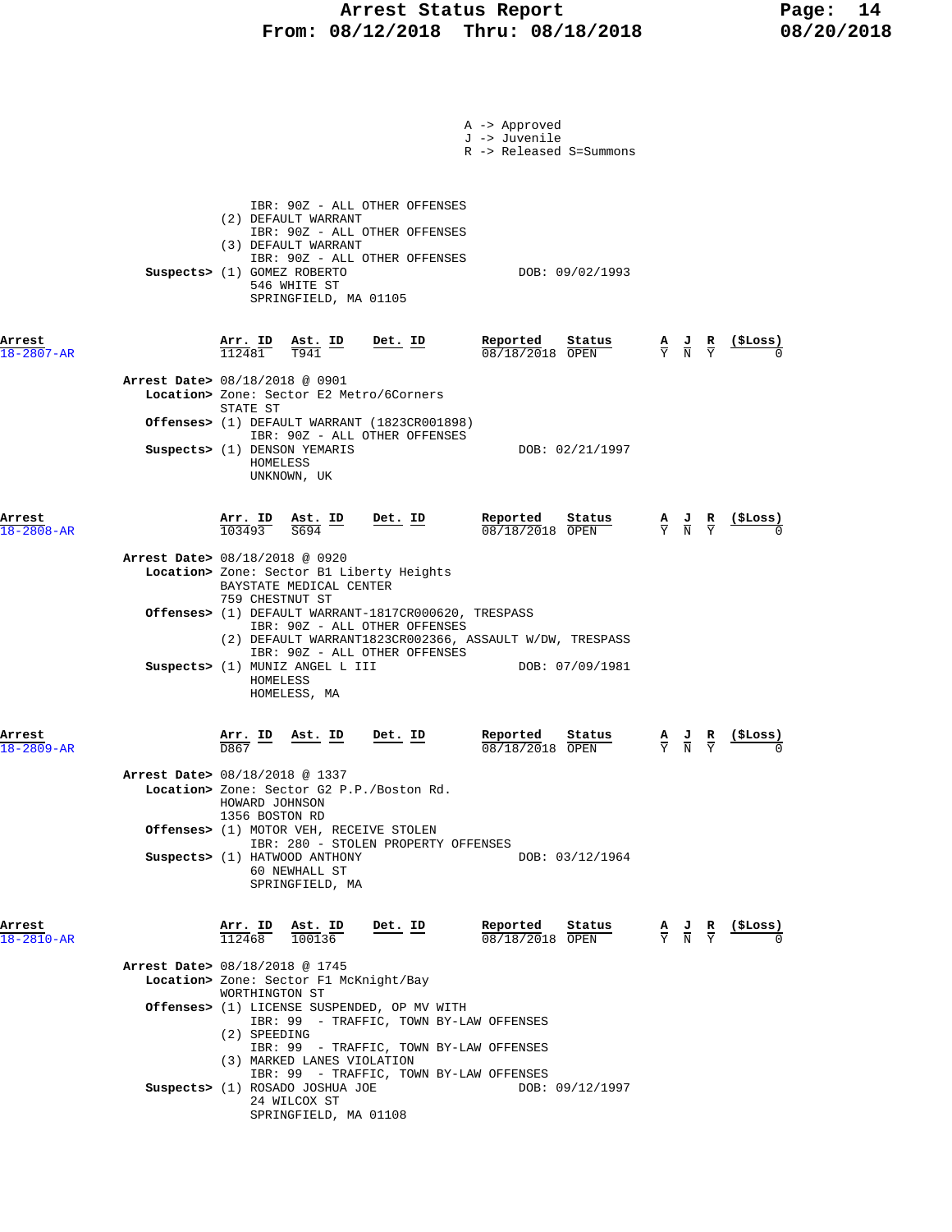## Arrest Status Report Fage: 14  **From: 08/12/2018 Thru: 08/18/2018 08/20/2018**

|                            |                                                                                                                                                                                                                       | A -> Approved<br>J -> Juvenile<br>R -> Released S=Summons |                                                                         |
|----------------------------|-----------------------------------------------------------------------------------------------------------------------------------------------------------------------------------------------------------------------|-----------------------------------------------------------|-------------------------------------------------------------------------|
|                            | IBR: 90Z - ALL OTHER OFFENSES<br>(2) DEFAULT WARRANT<br>IBR: 90Z - ALL OTHER OFFENSES<br>(3) DEFAULT WARRANT<br>IBR: 90Z - ALL OTHER OFFENSES<br>Suspects> (1) GOMEZ ROBERTO<br>546 WHITE ST<br>SPRINGFIELD, MA 01105 | DOB: 09/02/1993                                           |                                                                         |
| Arrest<br>18-2807-AR       | Arr. ID<br>Det. ID<br>Ast. ID<br>112481<br>T941                                                                                                                                                                       | Reported<br>Status<br>08/18/2018 OPEN                     | (ŞLoss)<br>$\frac{A}{Y}$ $\frac{J}{N}$<br>$rac{\mathbf{R}}{\mathrm{Y}}$ |
|                            | Arrest Date> 08/18/2018 @ 0901<br>Location> Zone: Sector E2 Metro/6Corners                                                                                                                                            |                                                           |                                                                         |
|                            | STATE ST<br>Offenses> (1) DEFAULT WARRANT (1823CR001898)<br>IBR: 90Z - ALL OTHER OFFENSES<br>Suspects> (1) DENSON YEMARIS<br>HOMELESS<br>UNKNOWN, UK                                                                  | DOB: 02/21/1997                                           |                                                                         |
| Arrest<br>18-2808-AR       | Arr. ID Ast. ID<br>Det. ID<br>103493<br>S694                                                                                                                                                                          | Reported<br>Status<br>$08/18/2018$ OPEN                   | (ŞLoss)<br>$\frac{A}{Y}$ $\frac{J}{N}$ $\frac{R}{Y}$                    |
|                            | <b>Arrest Date&gt;</b> 08/18/2018 @ 0920<br>Location> Zone: Sector B1 Liberty Heights<br>BAYSTATE MEDICAL CENTER                                                                                                      |                                                           |                                                                         |
|                            | 759 CHESTNUT ST<br><b>Offenses&gt;</b> (1) DEFAULT WARRANT-1817CR000620, TRESPASS<br>IBR: 90Z - ALL OTHER OFFENSES<br>(2) DEFAULT WARRANT1823CR002366, ASSAULT W/DW, TRESPASS                                         |                                                           |                                                                         |
|                            | IBR: 90Z - ALL OTHER OFFENSES<br>Suspects> (1) MUNIZ ANGEL L III<br>HOMELESS<br>HOMELESS, MA                                                                                                                          | DOB: 07/09/1981                                           |                                                                         |
| Arrest<br>$18 - 2809 - AR$ | <u>Arr. ID</u><br><u>Ast. ID</u><br>Det. ID                                                                                                                                                                           | Reported<br>Status<br>08/18/2018 OPEN                     | $\frac{\mathbf{A}}{\mathbf{Y}}$<br>$\frac{J}{N}$                        |
|                            | Arrest Date> 08/18/2018 @ 1337<br>Location> Zone: Sector G2 P.P./Boston Rd.<br>HOWARD JOHNSON<br>1356 BOSTON RD                                                                                                       |                                                           |                                                                         |
|                            | Offenses> (1) MOTOR VEH, RECEIVE STOLEN<br>IBR: 280 - STOLEN PROPERTY OFFENSES<br>Suspects> (1) HATWOOD ANTHONY<br>60 NEWHALL ST<br>SPRINGFIELD, MA                                                                   | DOB: 03/12/1964                                           |                                                                         |
| Arrest<br>18-2810-AR       | Det. ID<br>$\frac{\texttt{Arr.}}{112468}$<br>$\frac{\texttt{Ast.}}{100136}$                                                                                                                                           | Reported<br>Stat <u>us</u><br>08/18/2018 OPEN             | $\frac{A}{Y}$ $\frac{J}{N}$ $\frac{R}{Y}$ $\frac{($Loss)}{0}$           |
|                            | Arrest Date> 08/18/2018 @ 1745<br>Location> Zone: Sector F1 McKnight/Bay<br>WORTHINGTON ST                                                                                                                            |                                                           |                                                                         |
|                            | Offenses> (1) LICENSE SUSPENDED, OP MV WITH<br>IBR: 99 - TRAFFIC, TOWN BY-LAW OFFENSES<br>(2) SPEEDING                                                                                                                |                                                           |                                                                         |
|                            | IBR: 99 - TRAFFIC, TOWN BY-LAW OFFENSES<br>(3) MARKED LANES VIOLATION<br>IBR: 99 - TRAFFIC, TOWN BY-LAW OFFENSES<br>Suspects> (1) ROSADO JOSHUA JOE<br>24 WILCOX ST<br>SPRINGFIELD, MA 01108                          | DOB: 09/12/1997                                           |                                                                         |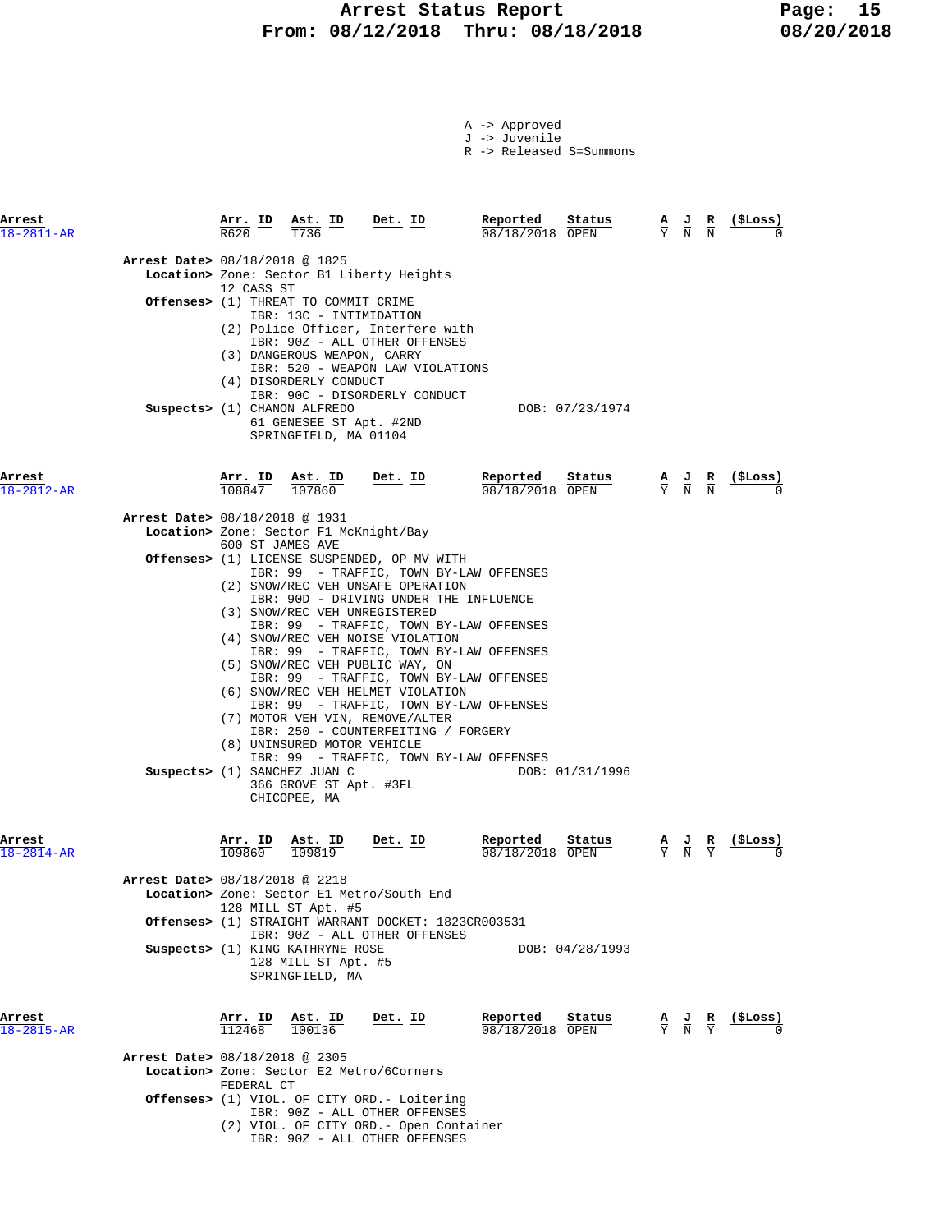# **Arrest Status Report** Page: 15<br>18/12/2018 Thru: 08/18/2018 08/20/2018  **From: 08/12/2018 Thru: 08/18/2018 08/20/2018**

A -> Approved J -> Juvenile

R -> Released S=Summons

| Arrest<br>$18 - 2811 - AR$     | R620              | Arr. ID Ast. ID<br>T736                                                                                                  | Det. ID                                                                                                                                                                                                                                                                                                                                                                                                                                                                                                                   | Reported<br>08/18/2018 OPEN | Status          | $\frac{A}{Y}$ $\frac{J}{N}$                                                                     | $\overline{R}$<br>$\overline{\mathbf{N}}$                                                       | ( \$Loss )        |
|--------------------------------|-------------------|--------------------------------------------------------------------------------------------------------------------------|---------------------------------------------------------------------------------------------------------------------------------------------------------------------------------------------------------------------------------------------------------------------------------------------------------------------------------------------------------------------------------------------------------------------------------------------------------------------------------------------------------------------------|-----------------------------|-----------------|-------------------------------------------------------------------------------------------------|-------------------------------------------------------------------------------------------------|-------------------|
| Arrest Date> 08/18/2018 @ 1825 | 12 CASS ST        |                                                                                                                          | Location> Zone: Sector B1 Liberty Heights                                                                                                                                                                                                                                                                                                                                                                                                                                                                                 |                             |                 |                                                                                                 |                                                                                                 |                   |
|                                |                   | Offenses> (1) THREAT TO COMMIT CRIME<br>IBR: 13C - INTIMIDATION<br>(3) DANGEROUS WEAPON, CARRY<br>(4) DISORDERLY CONDUCT | (2) Police Officer, Interfere with<br>IBR: 90Z - ALL OTHER OFFENSES<br>IBR: 520 - WEAPON LAW VIOLATIONS<br>IBR: 90C - DISORDERLY CONDUCT                                                                                                                                                                                                                                                                                                                                                                                  |                             |                 |                                                                                                 |                                                                                                 |                   |
|                                |                   | Suspects> (1) CHANON ALFREDO<br>61 GENESEE ST Apt. #2ND<br>SPRINGFIELD, MA 01104                                         |                                                                                                                                                                                                                                                                                                                                                                                                                                                                                                                           |                             | DOB: 07/23/1974 |                                                                                                 |                                                                                                 |                   |
| Arrest<br>$18 - 2812 - AR$     |                   | $\frac{\texttt{Arr.}}{108847}$ $\frac{\texttt{lab}}{107860}$                                                             | Det. ID                                                                                                                                                                                                                                                                                                                                                                                                                                                                                                                   | Reported<br>08/18/2018 OPEN | Status          | $\frac{\mathbf{A}}{\mathbf{Y}}$ $\frac{\mathbf{J}}{\mathbf{N}}$ $\frac{\mathbf{R}}{\mathbf{N}}$ |                                                                                                 |                   |
| Arrest Date> 08/18/2018 @ 1931 |                   | Location> Zone: Sector F1 McKnight/Bay                                                                                   |                                                                                                                                                                                                                                                                                                                                                                                                                                                                                                                           |                             |                 |                                                                                                 |                                                                                                 |                   |
|                                |                   | 600 ST JAMES AVE                                                                                                         | Offenses> (1) LICENSE SUSPENDED, OP MV WITH<br>IBR: 99 - TRAFFIC, TOWN BY-LAW OFFENSES                                                                                                                                                                                                                                                                                                                                                                                                                                    |                             |                 |                                                                                                 |                                                                                                 |                   |
|                                |                   | (8) UNINSURED MOTOR VEHICLE<br>Suspects> (1) SANCHEZ JUAN C<br>366 GROVE ST Apt. #3FL<br>CHICOPEE, MA                    | (2) SNOW/REC VEH UNSAFE OPERATION<br>IBR: 90D - DRIVING UNDER THE INFLUENCE<br>(3) SNOW/REC VEH UNREGISTERED<br>IBR: 99 - TRAFFIC, TOWN BY-LAW OFFENSES<br>(4) SNOW/REC VEH NOISE VIOLATION<br>IBR: 99 - TRAFFIC, TOWN BY-LAW OFFENSES<br>(5) SNOW/REC VEH PUBLIC WAY, ON<br>IBR: 99 - TRAFFIC, TOWN BY-LAW OFFENSES<br>(6) SNOW/REC VEH HELMET VIOLATION<br>IBR: 99 - TRAFFIC, TOWN BY-LAW OFFENSES<br>(7) MOTOR VEH VIN, REMOVE/ALTER<br>IBR: 250 - COUNTERFEITING / FORGERY<br>IBR: 99 - TRAFFIC, TOWN BY-LAW OFFENSES |                             | DOB: 01/31/1996 |                                                                                                 |                                                                                                 |                   |
| Arrest<br>$18 - 2814 - AR$     |                   | $\frac{\texttt{Arr. ID}}{109860}$ $\frac{\texttt{Ast. ID}}{109819}$                                                      | $Det$ . ID                                                                                                                                                                                                                                                                                                                                                                                                                                                                                                                | Reported<br>08/18/2018 OPEN | Status          | $\frac{\mathbf{A}}{\mathbf{Y}}$ $\frac{\mathbf{J}}{\mathbf{N}}$ $\frac{\mathbf{R}}{\mathbf{Y}}$ |                                                                                                 | <u>(SLoss)</u>    |
| Arrest Date> 08/18/2018 @ 2218 |                   |                                                                                                                          | Location> Zone: Sector El Metro/South End                                                                                                                                                                                                                                                                                                                                                                                                                                                                                 |                             |                 |                                                                                                 |                                                                                                 |                   |
|                                |                   | 128 MILL ST Apt. #5                                                                                                      |                                                                                                                                                                                                                                                                                                                                                                                                                                                                                                                           |                             |                 |                                                                                                 |                                                                                                 |                   |
|                                |                   | Suspects> (1) KING KATHRYNE ROSE<br>128 MILL ST Apt. #5<br>SPRINGFIELD, MA                                               | Offenses> (1) STRAIGHT WARRANT DOCKET: 1823CR003531<br>IBR: 90Z - ALL OTHER OFFENSES                                                                                                                                                                                                                                                                                                                                                                                                                                      |                             | DOB: 04/28/1993 |                                                                                                 |                                                                                                 |                   |
| Arrest<br>18-2815-AR           | Arr. ID<br>112468 | Ast. ID<br>100136                                                                                                        | Det. ID                                                                                                                                                                                                                                                                                                                                                                                                                                                                                                                   | Reported<br>08/18/2018 OPEN | Status          |                                                                                                 | $\frac{\mathbf{A}}{\mathbf{Y}}$ $\frac{\mathbf{J}}{\mathbf{N}}$ $\frac{\mathbf{R}}{\mathbf{Y}}$ | $(_{\rm{SLOSS}})$ |
| Arrest Date> 08/18/2018 @ 2305 |                   |                                                                                                                          |                                                                                                                                                                                                                                                                                                                                                                                                                                                                                                                           |                             |                 |                                                                                                 |                                                                                                 |                   |
|                                | FEDERAL CT        |                                                                                                                          | Location> Zone: Sector E2 Metro/6Corners                                                                                                                                                                                                                                                                                                                                                                                                                                                                                  |                             |                 |                                                                                                 |                                                                                                 |                   |
|                                |                   |                                                                                                                          | <b>Offenses&gt;</b> (1) VIOL. OF CITY ORD.- Loitering<br>IBR: 90Z - ALL OTHER OFFENSES<br>(2) VIOL. OF CITY ORD. - Open Container<br>IBR: 90Z - ALL OTHER OFFENSES                                                                                                                                                                                                                                                                                                                                                        |                             |                 |                                                                                                 |                                                                                                 |                   |